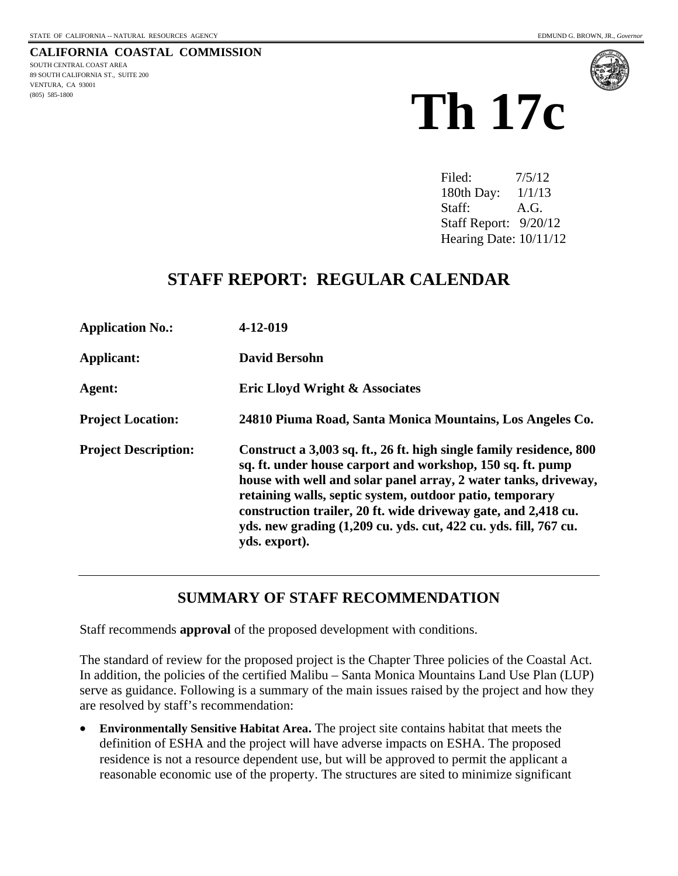**CALIFORNIA COASTAL COMMISSION**  SOUTH CENTRAL COAST AREA 89 SOUTH CALIFORNIA ST., SUITE 200 VENTURA, CA 93001



Filed: 7/5/12 180th Day: 1/1/13 Staff: A.G. Staff Report: 9/20/12 Hearing Date: 10/11/12

## **STAFF REPORT: REGULAR CALENDAR**

| <b>Application No.:</b>     | 4-12-019                                                                                                                                                                                                                                                                                                                                                                                                                |
|-----------------------------|-------------------------------------------------------------------------------------------------------------------------------------------------------------------------------------------------------------------------------------------------------------------------------------------------------------------------------------------------------------------------------------------------------------------------|
| Applicant:                  | <b>David Bersohn</b>                                                                                                                                                                                                                                                                                                                                                                                                    |
| Agent:                      | <b>Eric Lloyd Wright &amp; Associates</b>                                                                                                                                                                                                                                                                                                                                                                               |
| <b>Project Location:</b>    | 24810 Piuma Road, Santa Monica Mountains, Los Angeles Co.                                                                                                                                                                                                                                                                                                                                                               |
| <b>Project Description:</b> | Construct a 3,003 sq. ft., 26 ft. high single family residence, 800<br>sq. ft. under house carport and workshop, 150 sq. ft. pump<br>house with well and solar panel array, 2 water tanks, driveway,<br>retaining walls, septic system, outdoor patio, temporary<br>construction trailer, 20 ft. wide driveway gate, and 2,418 cu.<br>yds. new grading (1,209 cu. yds. cut, 422 cu. yds. fill, 767 cu.<br>yds. export). |

### **SUMMARY OF STAFF RECOMMENDATION**

Staff recommends **approval** of the proposed development with conditions.

The standard of review for the proposed project is the Chapter Three policies of the Coastal Act. In addition, the policies of the certified Malibu – Santa Monica Mountains Land Use Plan (LUP) serve as guidance. Following is a summary of the main issues raised by the project and how they are resolved by staff's recommendation:

 **Environmentally Sensitive Habitat Area.** The project site contains habitat that meets the definition of ESHA and the project will have adverse impacts on ESHA. The proposed residence is not a resource dependent use, but will be approved to permit the applicant a reasonable economic use of the property. The structures are sited to minimize significant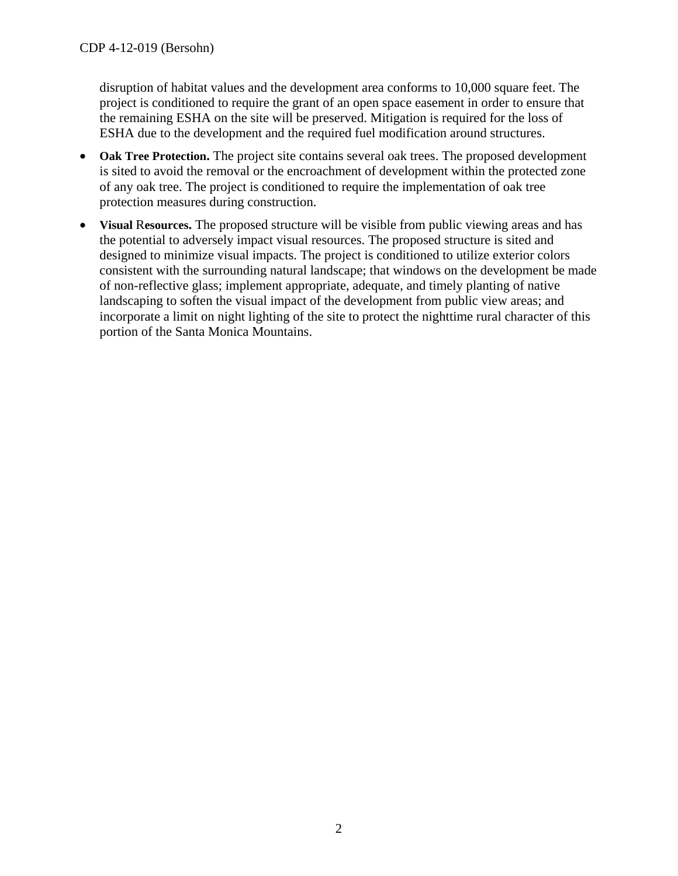disruption of habitat values and the development area conforms to 10,000 square feet. The project is conditioned to require the grant of an open space easement in order to ensure that the remaining ESHA on the site will be preserved. Mitigation is required for the loss of ESHA due to the development and the required fuel modification around structures.

- Oak Tree Protection. The project site contains several oak trees. The proposed development is sited to avoid the removal or the encroachment of development within the protected zone of any oak tree. The project is conditioned to require the implementation of oak tree protection measures during construction.
- **Visual** R**esources.** The proposed structure will be visible from public viewing areas and has the potential to adversely impact visual resources. The proposed structure is sited and designed to minimize visual impacts. The project is conditioned to utilize exterior colors consistent with the surrounding natural landscape; that windows on the development be made of non-reflective glass; implement appropriate, adequate, and timely planting of native landscaping to soften the visual impact of the development from public view areas; and incorporate a limit on night lighting of the site to protect the nighttime rural character of this portion of the Santa Monica Mountains.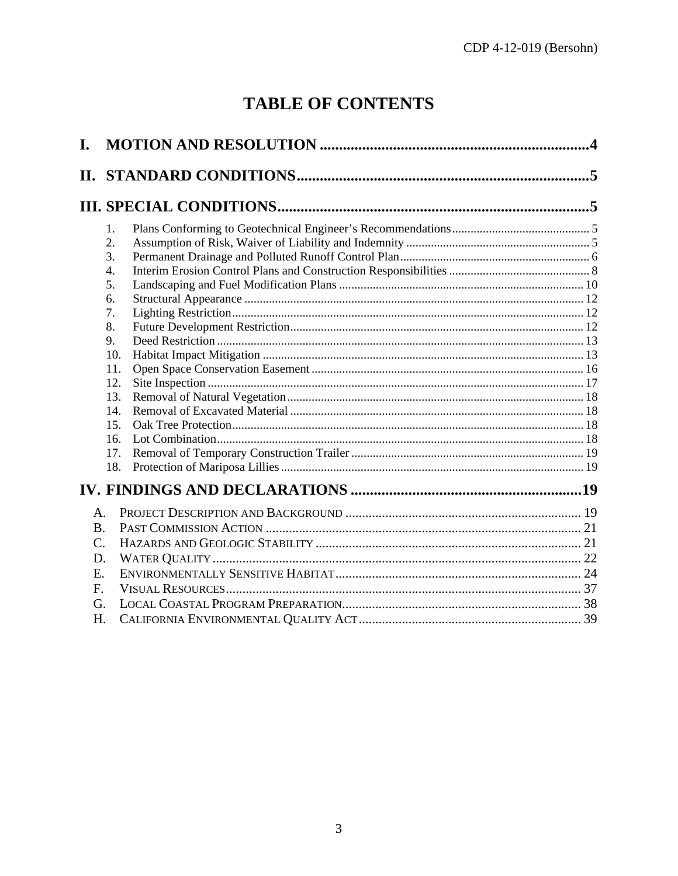# **TABLE OF CONTENTS**

| I.             |                      |   |
|----------------|----------------------|---|
|                |                      | 5 |
|                |                      |   |
|                | 1.<br>2.<br>3.<br>4. |   |
|                | 5.<br>6.             |   |
|                | 7.<br>8.<br>9.       |   |
|                | 10.<br>11.<br>12.    |   |
|                | 13.<br>14.<br>15.    |   |
|                | 16.<br>17.<br>18.    |   |
|                |                      |   |
| $\mathsf{A}$ . |                      |   |
| <b>B.</b>      |                      |   |
| C.             |                      |   |
| D.             |                      |   |
| E.             |                      |   |
| $F_{\cdot}$    |                      |   |
| G.             |                      |   |
| H.             |                      |   |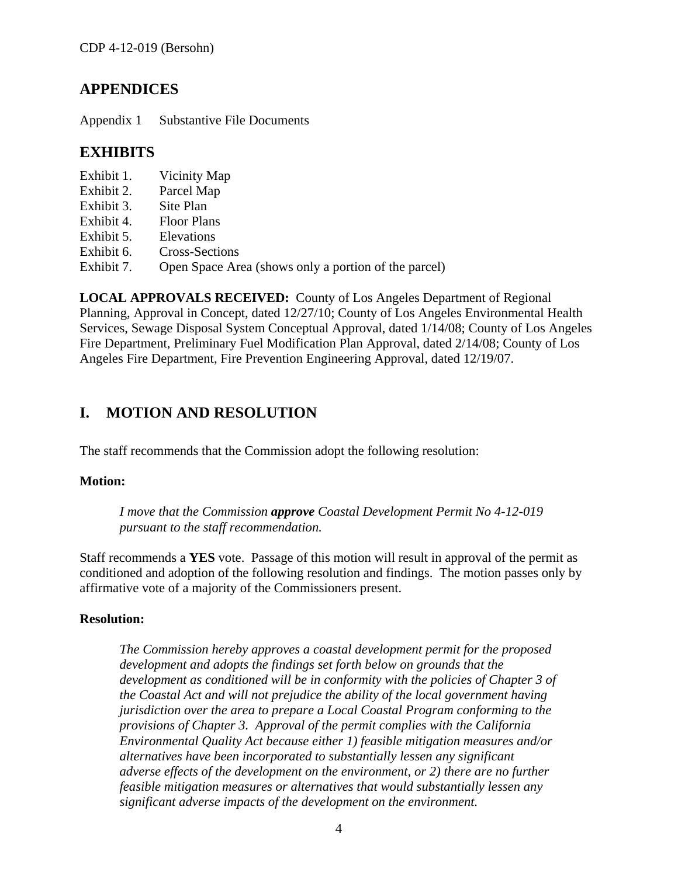### **APPENDICES**

Appendix 1 Substantive File Documents

### **EXHIBITS**

- Exhibit 1. Vicinity Map
- Exhibit 2. Parcel Map
- Exhibit 3. Site Plan
- Exhibit 4. Floor Plans
- Exhibit 5. Elevations
- Exhibit 6. Cross-Sections
- Exhibit 7. Open Space Area (shows only a portion of the parcel)

**LOCAL APPROVALS RECEIVED:** County of Los Angeles Department of Regional Planning, Approval in Concept, dated 12/27/10; County of Los Angeles Environmental Health Services, Sewage Disposal System Conceptual Approval, dated 1/14/08; County of Los Angeles Fire Department, Preliminary Fuel Modification Plan Approval, dated 2/14/08; County of Los Angeles Fire Department, Fire Prevention Engineering Approval, dated 12/19/07.

## <span id="page-3-0"></span>**I. MOTION AND RESOLUTION**

The staff recommends that the Commission adopt the following resolution:

### **Motion:**

*I move that the Commission approve Coastal Development Permit No 4-12-019 pursuant to the staff recommendation.* 

Staff recommends a **YES** vote. Passage of this motion will result in approval of the permit as conditioned and adoption of the following resolution and findings. The motion passes only by affirmative vote of a majority of the Commissioners present.

### **Resolution:**

<span id="page-3-1"></span>*The Commission hereby approves a coastal development permit for the proposed development and adopts the findings set forth below on grounds that the development as conditioned will be in conformity with the policies of Chapter 3 of the Coastal Act and will not prejudice the ability of the local government having jurisdiction over the area to prepare a Local Coastal Program conforming to the provisions of Chapter 3. Approval of the permit complies with the California Environmental Quality Act because either 1) feasible mitigation measures and/or alternatives have been incorporated to substantially lessen any significant adverse effects of the development on the environment, or 2) there are no further feasible mitigation measures or alternatives that would substantially lessen any significant adverse impacts of the development on the environment.*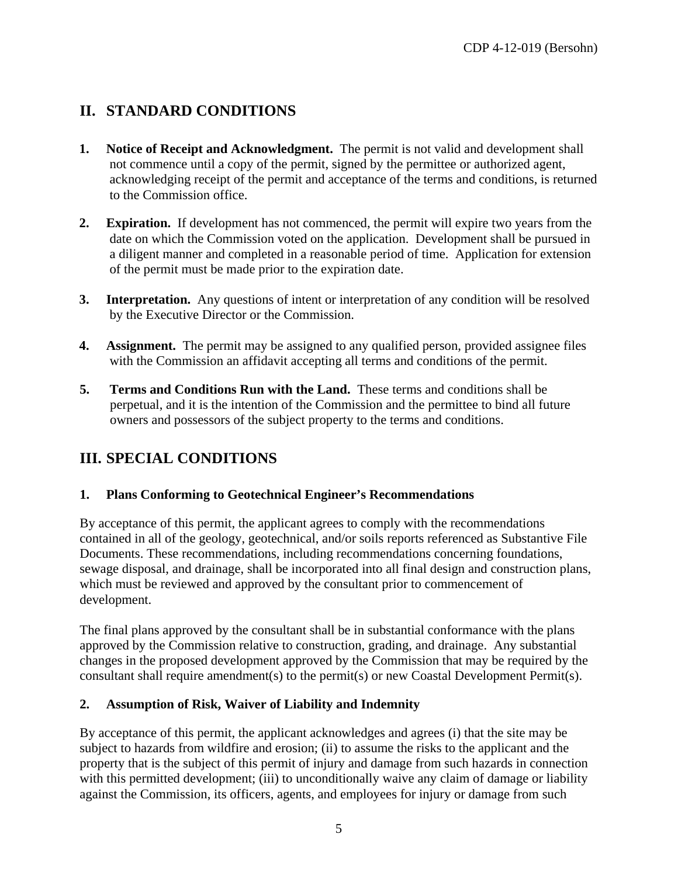## <span id="page-4-0"></span>**II. STANDARD CONDITIONS**

- **1. Notice of Receipt and Acknowledgment.** The permit is not valid and development shall not commence until a copy of the permit, signed by the permittee or authorized agent, acknowledging receipt of the permit and acceptance of the terms and conditions, is returned to the Commission office.
- **2. Expiration.** If development has not commenced, the permit will expire two years from the date on which the Commission voted on the application. Development shall be pursued in a diligent manner and completed in a reasonable period of time. Application for extension of the permit must be made prior to the expiration date.
- **3.** Interpretation. Any questions of intent or interpretation of any condition will be resolved by the Executive Director or the Commission.
- **4. Assignment.** The permit may be assigned to any qualified person, provided assignee files with the Commission an affidavit accepting all terms and conditions of the permit.
- **5. Terms and Conditions Run with the Land.** These terms and conditions shall be perpetual, and it is the intention of the Commission and the permittee to bind all future owners and possessors of the subject property to the terms and conditions.

## <span id="page-4-1"></span>**III. SPECIAL CONDITIONS**

### <span id="page-4-2"></span>**1. Plans Conforming to Geotechnical Engineer's Recommendations**

By acceptance of this permit, the applicant agrees to comply with the recommendations contained in all of the geology, geotechnical, and/or soils reports referenced as Substantive File Documents. These recommendations, including recommendations concerning foundations, sewage disposal, and drainage, shall be incorporated into all final design and construction plans, which must be reviewed and approved by the consultant prior to commencement of development.

The final plans approved by the consultant shall be in substantial conformance with the plans approved by the Commission relative to construction, grading, and drainage. Any substantial changes in the proposed development approved by the Commission that may be required by the consultant shall require amendment(s) to the permit(s) or new Coastal Development Permit(s).

### <span id="page-4-3"></span>**2. Assumption of Risk, Waiver of Liability and Indemnity**

By acceptance of this permit, the applicant acknowledges and agrees (i) that the site may be subject to hazards from wildfire and erosion; (ii) to assume the risks to the applicant and the property that is the subject of this permit of injury and damage from such hazards in connection with this permitted development; (iii) to unconditionally waive any claim of damage or liability against the Commission, its officers, agents, and employees for injury or damage from such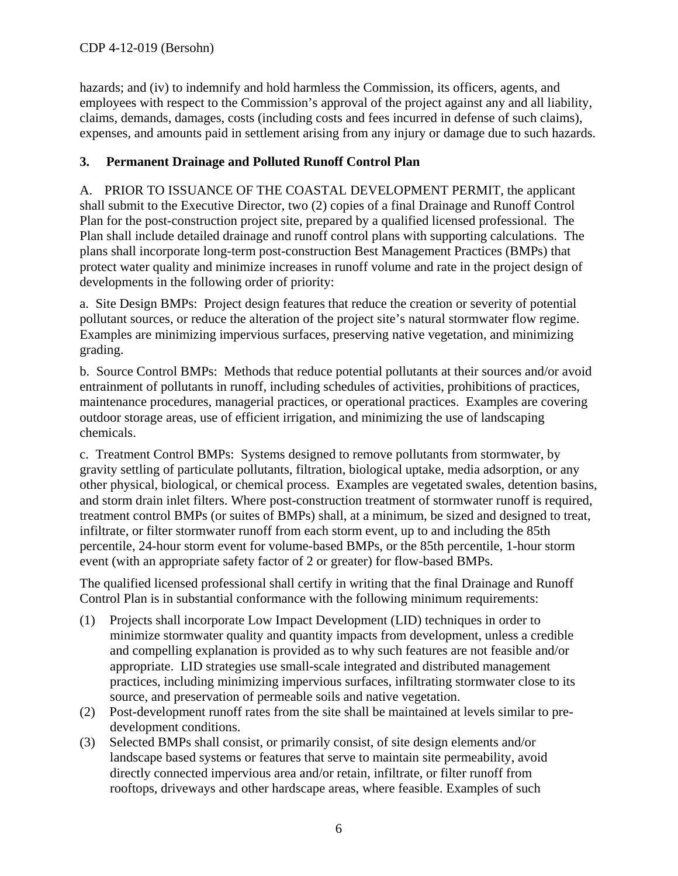hazards; and (iv) to indemnify and hold harmless the Commission, its officers, agents, and employees with respect to the Commission's approval of the project against any and all liability, claims, demands, damages, costs (including costs and fees incurred in defense of such claims), expenses, and amounts paid in settlement arising from any injury or damage due to such hazards.

### <span id="page-5-0"></span>**3. Permanent Drainage and Polluted Runoff Control Plan**

A. PRIOR TO ISSUANCE OF THE COASTAL DEVELOPMENT PERMIT, the applicant shall submit to the Executive Director, two (2) copies of a final Drainage and Runoff Control Plan for the post-construction project site, prepared by a qualified licensed professional. The Plan shall include detailed drainage and runoff control plans with supporting calculations. The plans shall incorporate long-term post-construction Best Management Practices (BMPs) that protect water quality and minimize increases in runoff volume and rate in the project design of developments in the following order of priority:

a. Site Design BMPs: Project design features that reduce the creation or severity of potential pollutant sources, or reduce the alteration of the project site's natural stormwater flow regime. Examples are minimizing impervious surfaces, preserving native vegetation, and minimizing grading.

b. Source Control BMPs: Methods that reduce potential pollutants at their sources and/or avoid entrainment of pollutants in runoff, including schedules of activities, prohibitions of practices, maintenance procedures, managerial practices, or operational practices. Examples are covering outdoor storage areas, use of efficient irrigation, and minimizing the use of landscaping chemicals.

c. Treatment Control BMPs: Systems designed to remove pollutants from stormwater, by gravity settling of particulate pollutants, filtration, biological uptake, media adsorption, or any other physical, biological, or chemical process. Examples are vegetated swales, detention basins, and storm drain inlet filters. Where post-construction treatment of stormwater runoff is required, treatment control BMPs (or suites of BMPs) shall, at a minimum, be sized and designed to treat, infiltrate, or filter stormwater runoff from each storm event, up to and including the 85th percentile, 24-hour storm event for volume-based BMPs, or the 85th percentile, 1-hour storm event (with an appropriate safety factor of 2 or greater) for flow-based BMPs.

The qualified licensed professional shall certify in writing that the final Drainage and Runoff Control Plan is in substantial conformance with the following minimum requirements:

- (1) Projects shall incorporate Low Impact Development (LID) techniques in order to minimize stormwater quality and quantity impacts from development, unless a credible and compelling explanation is provided as to why such features are not feasible and/or appropriate. LID strategies use small-scale integrated and distributed management practices, including minimizing impervious surfaces, infiltrating stormwater close to its source, and preservation of permeable soils and native vegetation.
- (2) Post-development runoff rates from the site shall be maintained at levels similar to predevelopment conditions.
- (3) Selected BMPs shall consist, or primarily consist, of site design elements and/or landscape based systems or features that serve to maintain site permeability, avoid directly connected impervious area and/or retain, infiltrate, or filter runoff from rooftops, driveways and other hardscape areas, where feasible. Examples of such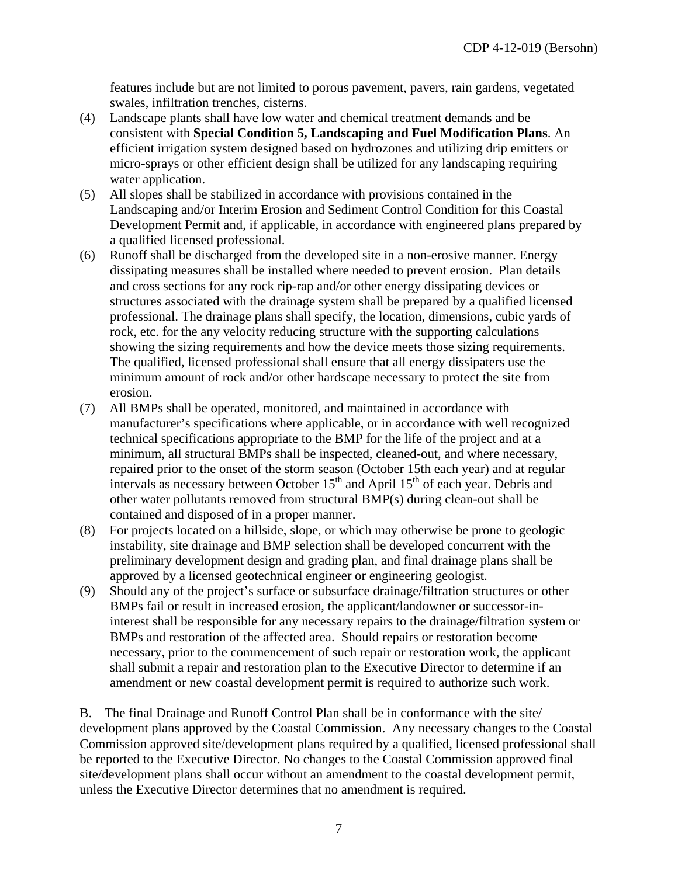features include but are not limited to porous pavement, pavers, rain gardens, vegetated swales, infiltration trenches, cisterns.

- (4) Landscape plants shall have low water and chemical treatment demands and be consistent with **Special Condition 5, Landscaping and Fuel Modification Plans**. An efficient irrigation system designed based on hydrozones and utilizing drip emitters or micro-sprays or other efficient design shall be utilized for any landscaping requiring water application.
- (5) All slopes shall be stabilized in accordance with provisions contained in the Landscaping and/or Interim Erosion and Sediment Control Condition for this Coastal Development Permit and, if applicable, in accordance with engineered plans prepared by a qualified licensed professional.
- (6) Runoff shall be discharged from the developed site in a non-erosive manner. Energy dissipating measures shall be installed where needed to prevent erosion. Plan details and cross sections for any rock rip-rap and/or other energy dissipating devices or structures associated with the drainage system shall be prepared by a qualified licensed professional. The drainage plans shall specify, the location, dimensions, cubic yards of rock, etc. for the any velocity reducing structure with the supporting calculations showing the sizing requirements and how the device meets those sizing requirements. The qualified, licensed professional shall ensure that all energy dissipaters use the minimum amount of rock and/or other hardscape necessary to protect the site from erosion.
- (7) All BMPs shall be operated, monitored, and maintained in accordance with manufacturer's specifications where applicable, or in accordance with well recognized technical specifications appropriate to the BMP for the life of the project and at a minimum, all structural BMPs shall be inspected, cleaned-out, and where necessary, repaired prior to the onset of the storm season (October 15th each year) and at regular intervals as necessary between October  $15<sup>th</sup>$  and April  $15<sup>th</sup>$  of each year. Debris and other water pollutants removed from structural BMP(s) during clean-out shall be contained and disposed of in a proper manner.
- (8) For projects located on a hillside, slope, or which may otherwise be prone to geologic instability, site drainage and BMP selection shall be developed concurrent with the preliminary development design and grading plan, and final drainage plans shall be approved by a licensed geotechnical engineer or engineering geologist.
- (9) Should any of the project's surface or subsurface drainage/filtration structures or other BMPs fail or result in increased erosion, the applicant/landowner or successor-ininterest shall be responsible for any necessary repairs to the drainage/filtration system or BMPs and restoration of the affected area. Should repairs or restoration become necessary, prior to the commencement of such repair or restoration work, the applicant shall submit a repair and restoration plan to the Executive Director to determine if an amendment or new coastal development permit is required to authorize such work.

B. The final Drainage and Runoff Control Plan shall be in conformance with the site/ development plans approved by the Coastal Commission. Any necessary changes to the Coastal Commission approved site/development plans required by a qualified, licensed professional shall be reported to the Executive Director. No changes to the Coastal Commission approved final site/development plans shall occur without an amendment to the coastal development permit, unless the Executive Director determines that no amendment is required.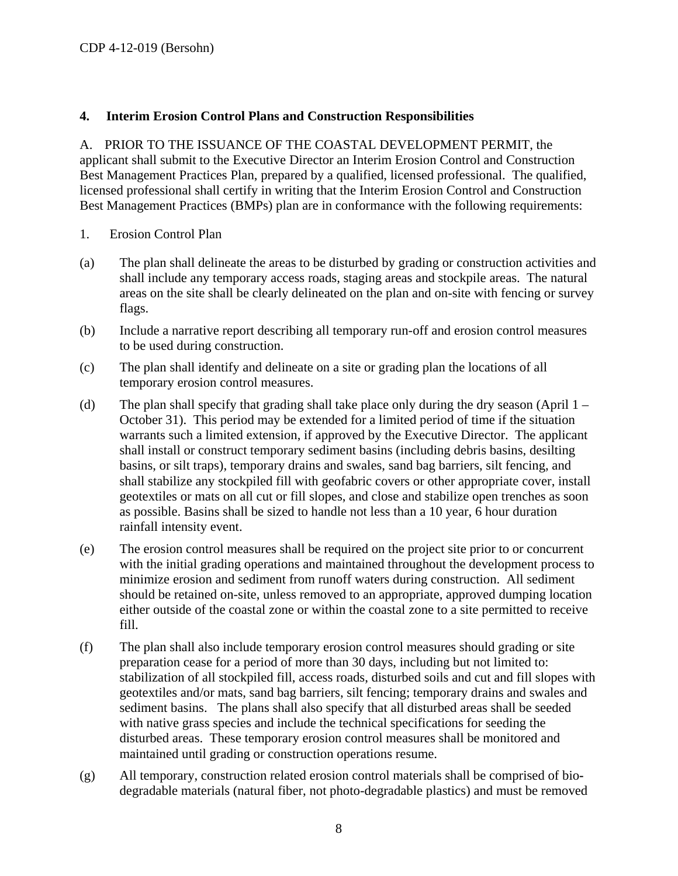### <span id="page-7-0"></span>**4. Interim Erosion Control Plans and Construction Responsibilities**

A. PRIOR TO THE ISSUANCE OF THE COASTAL DEVELOPMENT PERMIT, the applicant shall submit to the Executive Director an Interim Erosion Control and Construction Best Management Practices Plan, prepared by a qualified, licensed professional. The qualified, licensed professional shall certify in writing that the Interim Erosion Control and Construction Best Management Practices (BMPs) plan are in conformance with the following requirements:

- 1. Erosion Control Plan
- (a) The plan shall delineate the areas to be disturbed by grading or construction activities and shall include any temporary access roads, staging areas and stockpile areas. The natural areas on the site shall be clearly delineated on the plan and on-site with fencing or survey flags.
- (b) Include a narrative report describing all temporary run-off and erosion control measures to be used during construction.
- (c) The plan shall identify and delineate on a site or grading plan the locations of all temporary erosion control measures.
- (d) The plan shall specify that grading shall take place only during the dry season (April 1 October 31). This period may be extended for a limited period of time if the situation warrants such a limited extension, if approved by the Executive Director. The applicant shall install or construct temporary sediment basins (including debris basins, desilting basins, or silt traps), temporary drains and swales, sand bag barriers, silt fencing, and shall stabilize any stockpiled fill with geofabric covers or other appropriate cover, install geotextiles or mats on all cut or fill slopes, and close and stabilize open trenches as soon as possible. Basins shall be sized to handle not less than a 10 year, 6 hour duration rainfall intensity event.
- (e) The erosion control measures shall be required on the project site prior to or concurrent with the initial grading operations and maintained throughout the development process to minimize erosion and sediment from runoff waters during construction. All sediment should be retained on-site, unless removed to an appropriate, approved dumping location either outside of the coastal zone or within the coastal zone to a site permitted to receive fill.
- (f) The plan shall also include temporary erosion control measures should grading or site preparation cease for a period of more than 30 days, including but not limited to: stabilization of all stockpiled fill, access roads, disturbed soils and cut and fill slopes with geotextiles and/or mats, sand bag barriers, silt fencing; temporary drains and swales and sediment basins. The plans shall also specify that all disturbed areas shall be seeded with native grass species and include the technical specifications for seeding the disturbed areas. These temporary erosion control measures shall be monitored and maintained until grading or construction operations resume.
- (g) All temporary, construction related erosion control materials shall be comprised of biodegradable materials (natural fiber, not photo-degradable plastics) and must be removed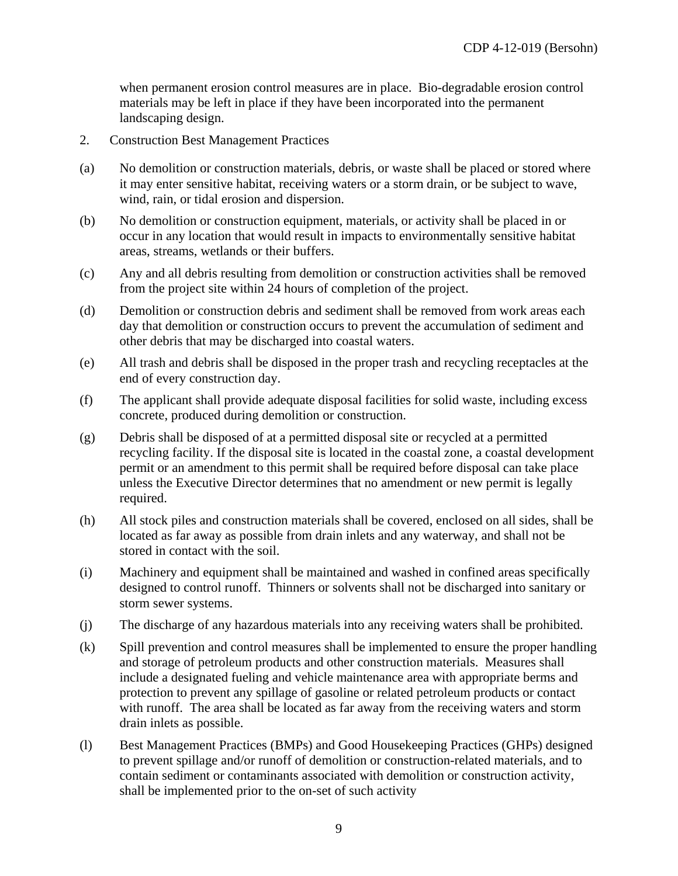when permanent erosion control measures are in place. Bio-degradable erosion control materials may be left in place if they have been incorporated into the permanent landscaping design.

- 2. Construction Best Management Practices
- (a) No demolition or construction materials, debris, or waste shall be placed or stored where it may enter sensitive habitat, receiving waters or a storm drain, or be subject to wave, wind, rain, or tidal erosion and dispersion.
- (b) No demolition or construction equipment, materials, or activity shall be placed in or occur in any location that would result in impacts to environmentally sensitive habitat areas, streams, wetlands or their buffers.
- (c) Any and all debris resulting from demolition or construction activities shall be removed from the project site within 24 hours of completion of the project.
- (d) Demolition or construction debris and sediment shall be removed from work areas each day that demolition or construction occurs to prevent the accumulation of sediment and other debris that may be discharged into coastal waters.
- (e) All trash and debris shall be disposed in the proper trash and recycling receptacles at the end of every construction day.
- (f) The applicant shall provide adequate disposal facilities for solid waste, including excess concrete, produced during demolition or construction.
- (g) Debris shall be disposed of at a permitted disposal site or recycled at a permitted recycling facility. If the disposal site is located in the coastal zone, a coastal development permit or an amendment to this permit shall be required before disposal can take place unless the Executive Director determines that no amendment or new permit is legally required.
- (h) All stock piles and construction materials shall be covered, enclosed on all sides, shall be located as far away as possible from drain inlets and any waterway, and shall not be stored in contact with the soil.
- (i) Machinery and equipment shall be maintained and washed in confined areas specifically designed to control runoff. Thinners or solvents shall not be discharged into sanitary or storm sewer systems.
- (j) The discharge of any hazardous materials into any receiving waters shall be prohibited.
- (k) Spill prevention and control measures shall be implemented to ensure the proper handling and storage of petroleum products and other construction materials. Measures shall include a designated fueling and vehicle maintenance area with appropriate berms and protection to prevent any spillage of gasoline or related petroleum products or contact with runoff. The area shall be located as far away from the receiving waters and storm drain inlets as possible.
- (l) Best Management Practices (BMPs) and Good Housekeeping Practices (GHPs) designed to prevent spillage and/or runoff of demolition or construction-related materials, and to contain sediment or contaminants associated with demolition or construction activity, shall be implemented prior to the on-set of such activity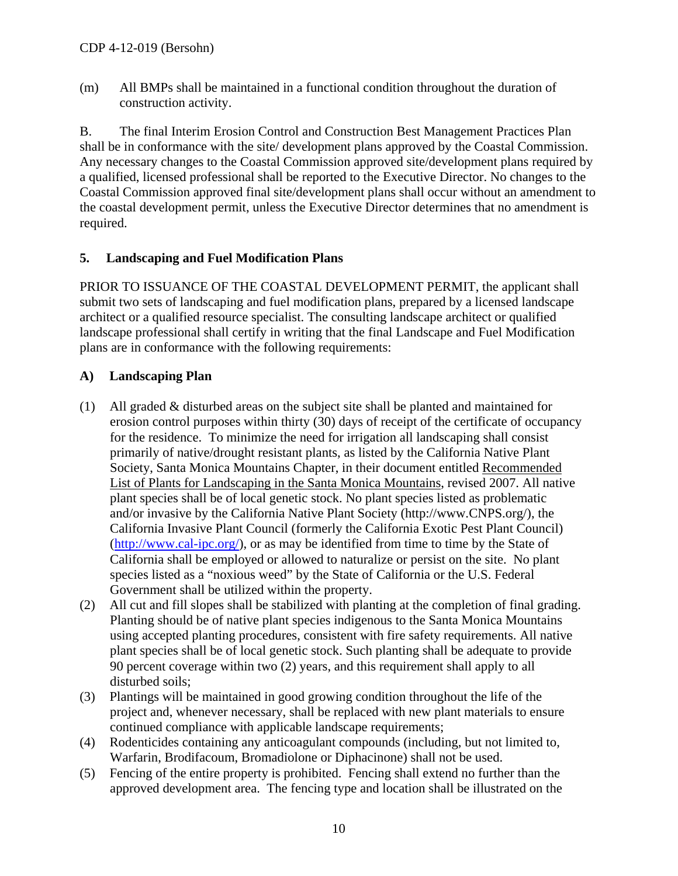(m) All BMPs shall be maintained in a functional condition throughout the duration of construction activity.

B. The final Interim Erosion Control and Construction Best Management Practices Plan shall be in conformance with the site/ development plans approved by the Coastal Commission. Any necessary changes to the Coastal Commission approved site/development plans required by a qualified, licensed professional shall be reported to the Executive Director. No changes to the Coastal Commission approved final site/development plans shall occur without an amendment to the coastal development permit, unless the Executive Director determines that no amendment is required.

### <span id="page-9-0"></span>**5. Landscaping and Fuel Modification Plans**

PRIOR TO ISSUANCE OF THE COASTAL DEVELOPMENT PERMIT, the applicant shall submit two sets of landscaping and fuel modification plans, prepared by a licensed landscape architect or a qualified resource specialist. The consulting landscape architect or qualified landscape professional shall certify in writing that the final Landscape and Fuel Modification plans are in conformance with the following requirements:

### **A) Landscaping Plan**

- (1) All graded & disturbed areas on the subject site shall be planted and maintained for erosion control purposes within thirty (30) days of receipt of the certificate of occupancy for the residence. To minimize the need for irrigation all landscaping shall consist primarily of native/drought resistant plants, as listed by the California Native Plant Society, Santa Monica Mountains Chapter, in their document entitled Recommended List of Plants for Landscaping in the Santa Monica Mountains, revised 2007. All native plant species shall be of local genetic stock. No plant species listed as problematic and/or invasive by the California Native Plant Society [\(http://www.CNPS.org/\)](http://www.cnps.org/), the California Invasive Plant Council (formerly the California Exotic Pest Plant Council) [\(http://www.cal-ipc.org/](http://www.cal-ipc.org/)), or as may be identified from time to time by the State of California shall be employed or allowed to naturalize or persist on the site. No plant species listed as a "noxious weed" by the State of California or the U.S. Federal Government shall be utilized within the property.
- (2) All cut and fill slopes shall be stabilized with planting at the completion of final grading. Planting should be of native plant species indigenous to the Santa Monica Mountains using accepted planting procedures, consistent with fire safety requirements. All native plant species shall be of local genetic stock. Such planting shall be adequate to provide 90 percent coverage within two (2) years, and this requirement shall apply to all disturbed soils;
- (3) Plantings will be maintained in good growing condition throughout the life of the project and, whenever necessary, shall be replaced with new plant materials to ensure continued compliance with applicable landscape requirements;
- (4) Rodenticides containing any anticoagulant compounds (including, but not limited to, Warfarin, Brodifacoum, Bromadiolone or Diphacinone) shall not be used.
- (5) Fencing of the entire property is prohibited. Fencing shall extend no further than the approved development area. The fencing type and location shall be illustrated on the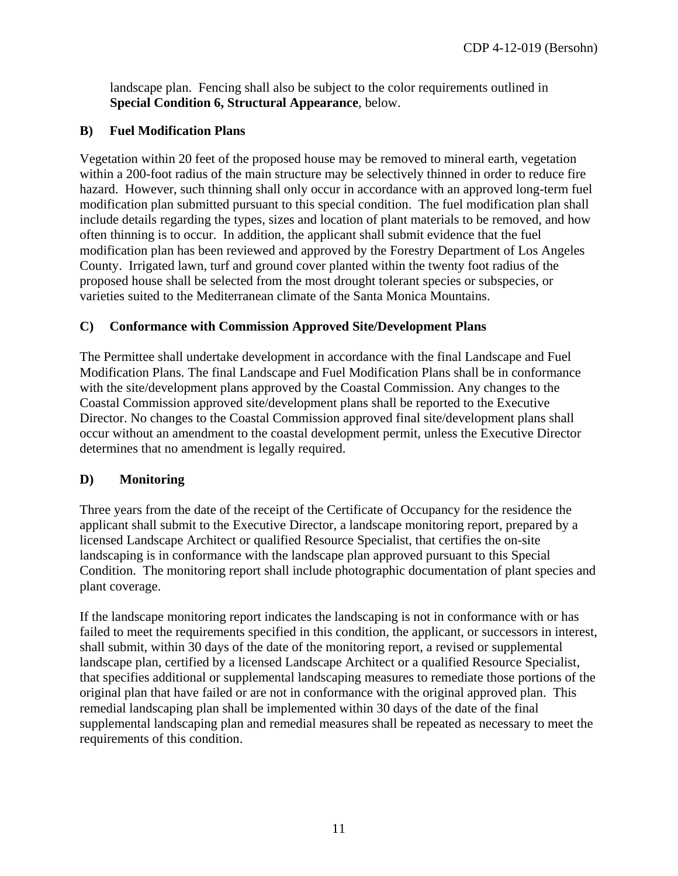landscape plan. Fencing shall also be subject to the color requirements outlined in **Special Condition [6](#page-11-0), Structural Appearance**, below.

### **B) Fuel Modification Plans**

Vegetation within 20 feet of the proposed house may be removed to mineral earth, vegetation within a 200-foot radius of the main structure may be selectively thinned in order to reduce fire hazard. However, such thinning shall only occur in accordance with an approved long-term fuel modification plan submitted pursuant to this special condition. The fuel modification plan shall include details regarding the types, sizes and location of plant materials to be removed, and how often thinning is to occur. In addition, the applicant shall submit evidence that the fuel modification plan has been reviewed and approved by the Forestry Department of Los Angeles County. Irrigated lawn, turf and ground cover planted within the twenty foot radius of the proposed house shall be selected from the most drought tolerant species or subspecies, or varieties suited to the Mediterranean climate of the Santa Monica Mountains.

#### **C) Conformance with Commission Approved Site/Development Plans**

The Permittee shall undertake development in accordance with the final Landscape and Fuel Modification Plans. The final Landscape and Fuel Modification Plans shall be in conformance with the site/development plans approved by the Coastal Commission. Any changes to the Coastal Commission approved site/development plans shall be reported to the Executive Director. No changes to the Coastal Commission approved final site/development plans shall occur without an amendment to the coastal development permit, unless the Executive Director determines that no amendment is legally required.

### **D) Monitoring**

Three years from the date of the receipt of the Certificate of Occupancy for the residence the applicant shall submit to the Executive Director, a landscape monitoring report, prepared by a licensed Landscape Architect or qualified Resource Specialist, that certifies the on-site landscaping is in conformance with the landscape plan approved pursuant to this Special Condition. The monitoring report shall include photographic documentation of plant species and plant coverage.

If the landscape monitoring report indicates the landscaping is not in conformance with or has failed to meet the requirements specified in this condition, the applicant, or successors in interest, shall submit, within 30 days of the date of the monitoring report, a revised or supplemental landscape plan, certified by a licensed Landscape Architect or a qualified Resource Specialist, that specifies additional or supplemental landscaping measures to remediate those portions of the original plan that have failed or are not in conformance with the original approved plan. This remedial landscaping plan shall be implemented within 30 days of the date of the final supplemental landscaping plan and remedial measures shall be repeated as necessary to meet the requirements of this condition.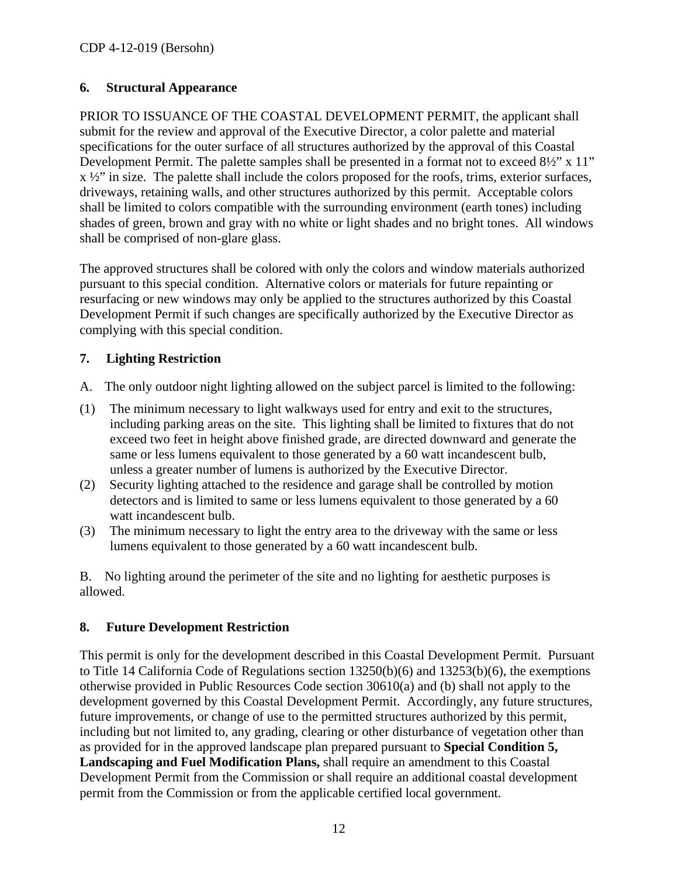### <span id="page-11-0"></span>**6. Structural Appearance**

PRIOR TO ISSUANCE OF THE COASTAL DEVELOPMENT PERMIT, the applicant shall submit for the review and approval of the Executive Director, a color palette and material specifications for the outer surface of all structures authorized by the approval of this Coastal Development Permit. The palette samples shall be presented in a format not to exceed 8½" x 11"  $x \frac{1}{2}$ " in size. The palette shall include the colors proposed for the roofs, trims, exterior surfaces, driveways, retaining walls, and other structures authorized by this permit. Acceptable colors shall be limited to colors compatible with the surrounding environment (earth tones) including shades of green, brown and gray with no white or light shades and no bright tones. All windows shall be comprised of non-glare glass.

The approved structures shall be colored with only the colors and window materials authorized pursuant to this special condition. Alternative colors or materials for future repainting or resurfacing or new windows may only be applied to the structures authorized by this Coastal Development Permit if such changes are specifically authorized by the Executive Director as complying with this special condition.

### <span id="page-11-1"></span>**7. Lighting Restriction**

- A. The only outdoor night lighting allowed on the subject parcel is limited to the following:
- (1) The minimum necessary to light walkways used for entry and exit to the structures, including parking areas on the site. This lighting shall be limited to fixtures that do not exceed two feet in height above finished grade, are directed downward and generate the same or less lumens equivalent to those generated by a 60 watt incandescent bulb, unless a greater number of lumens is authorized by the Executive Director.
- (2) Security lighting attached to the residence and garage shall be controlled by motion detectors and is limited to same or less lumens equivalent to those generated by a 60 watt incandescent bulb.
- (3) The minimum necessary to light the entry area to the driveway with the same or less lumens equivalent to those generated by a 60 watt incandescent bulb.

B. No lighting around the perimeter of the site and no lighting for aesthetic purposes is allowed.

### <span id="page-11-2"></span>**8. Future Development Restriction**

This permit is only for the development described in this Coastal Development Permit. Pursuant to Title 14 California Code of Regulations section 13250(b)(6) and 13253(b)(6), the exemptions otherwise provided in Public Resources Code section 30610(a) and (b) shall not apply to the development governed by this Coastal Development Permit. Accordingly, any future structures, future improvements, or change of use to the permitted structures authorized by this permit, including but not limited to, any grading, clearing or other disturbance of vegetation other than as provided for in the approved landscape plan prepared pursuant to **Special Condition 5, Landscaping and Fuel Modification Plans,** shall require an amendment to this Coastal Development Permit from the Commission or shall require an additional coastal development permit from the Commission or from the applicable certified local government.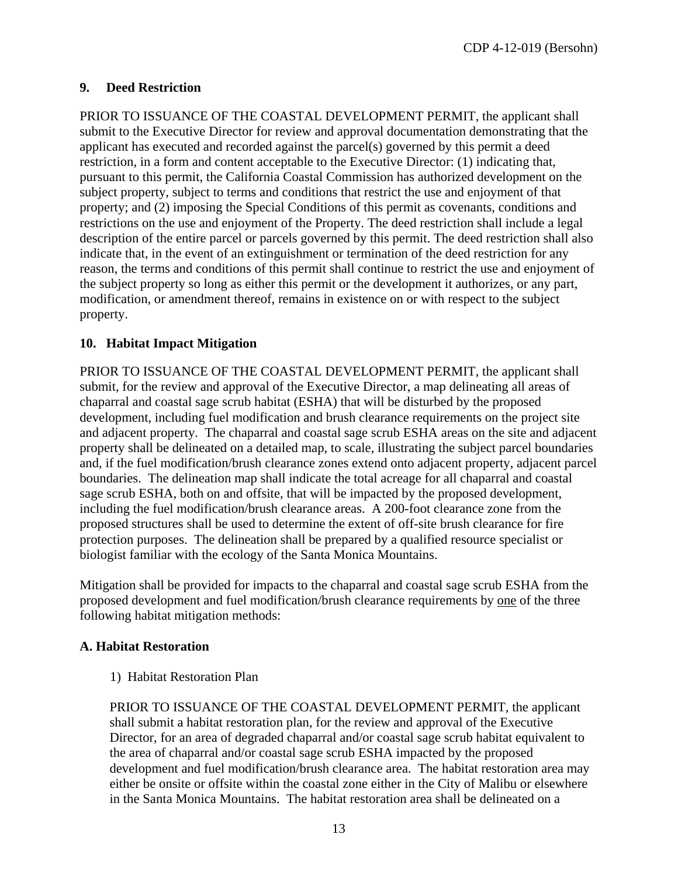CDP 4-12-019 (Bersohn)

### <span id="page-12-0"></span>**9. Deed Restriction**

PRIOR TO ISSUANCE OF THE COASTAL DEVELOPMENT PERMIT, the applicant shall submit to the Executive Director for review and approval documentation demonstrating that the applicant has executed and recorded against the parcel(s) governed by this permit a deed restriction, in a form and content acceptable to the Executive Director: (1) indicating that, pursuant to this permit, the California Coastal Commission has authorized development on the subject property, subject to terms and conditions that restrict the use and enjoyment of that property; and (2) imposing the Special Conditions of this permit as covenants, conditions and restrictions on the use and enjoyment of the Property. The deed restriction shall include a legal description of the entire parcel or parcels governed by this permit. The deed restriction shall also indicate that, in the event of an extinguishment or termination of the deed restriction for any reason, the terms and conditions of this permit shall continue to restrict the use and enjoyment of the subject property so long as either this permit or the development it authorizes, or any part, modification, or amendment thereof, remains in existence on or with respect to the subject property.

#### <span id="page-12-1"></span>**10. Habitat Impact Mitigation**

PRIOR TO ISSUANCE OF THE COASTAL DEVELOPMENT PERMIT, the applicant shall submit, for the review and approval of the Executive Director, a map delineating all areas of chaparral and coastal sage scrub habitat (ESHA) that will be disturbed by the proposed development, including fuel modification and brush clearance requirements on the project site and adjacent property. The chaparral and coastal sage scrub ESHA areas on the site and adjacent property shall be delineated on a detailed map, to scale, illustrating the subject parcel boundaries and, if the fuel modification/brush clearance zones extend onto adjacent property, adjacent parcel boundaries. The delineation map shall indicate the total acreage for all chaparral and coastal sage scrub ESHA, both on and offsite, that will be impacted by the proposed development, including the fuel modification/brush clearance areas. A 200-foot clearance zone from the proposed structures shall be used to determine the extent of off-site brush clearance for fire protection purposes. The delineation shall be prepared by a qualified resource specialist or biologist familiar with the ecology of the Santa Monica Mountains.

Mitigation shall be provided for impacts to the chaparral and coastal sage scrub ESHA from the proposed development and fuel modification/brush clearance requirements by one of the three following habitat mitigation methods:

#### **A. Habitat Restoration**

1) Habitat Restoration Plan

PRIOR TO ISSUANCE OF THE COASTAL DEVELOPMENT PERMIT, the applicant shall submit a habitat restoration plan, for the review and approval of the Executive Director, for an area of degraded chaparral and/or coastal sage scrub habitat equivalent to the area of chaparral and/or coastal sage scrub ESHA impacted by the proposed development and fuel modification/brush clearance area. The habitat restoration area may either be onsite or offsite within the coastal zone either in the City of Malibu or elsewhere in the Santa Monica Mountains. The habitat restoration area shall be delineated on a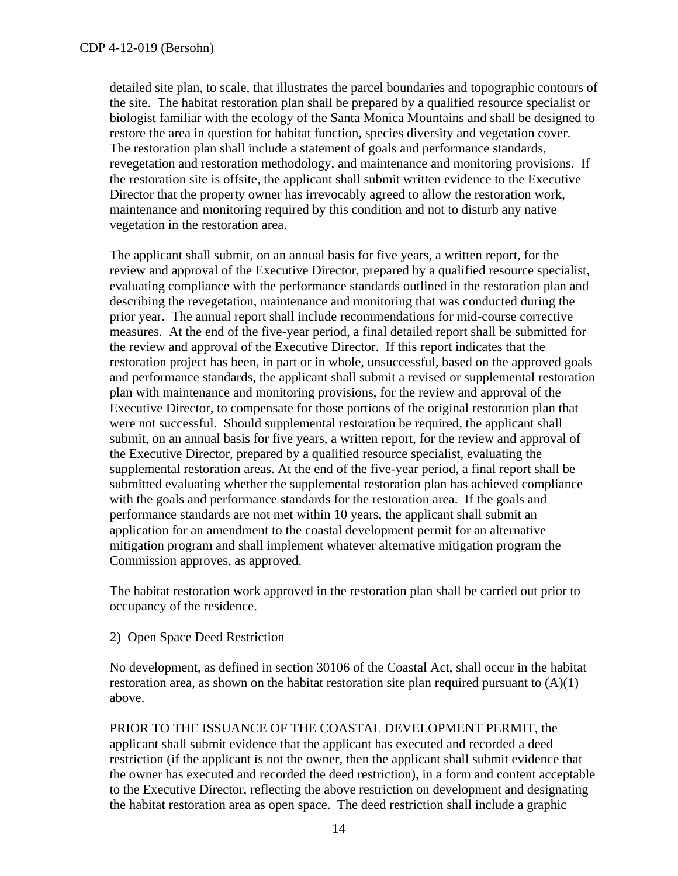detailed site plan, to scale, that illustrates the parcel boundaries and topographic contours of the site. The habitat restoration plan shall be prepared by a qualified resource specialist or biologist familiar with the ecology of the Santa Monica Mountains and shall be designed to restore the area in question for habitat function, species diversity and vegetation cover. The restoration plan shall include a statement of goals and performance standards, revegetation and restoration methodology, and maintenance and monitoring provisions. If the restoration site is offsite, the applicant shall submit written evidence to the Executive Director that the property owner has irrevocably agreed to allow the restoration work, maintenance and monitoring required by this condition and not to disturb any native vegetation in the restoration area.

The applicant shall submit, on an annual basis for five years, a written report, for the review and approval of the Executive Director, prepared by a qualified resource specialist, evaluating compliance with the performance standards outlined in the restoration plan and describing the revegetation, maintenance and monitoring that was conducted during the prior year. The annual report shall include recommendations for mid-course corrective measures. At the end of the five-year period, a final detailed report shall be submitted for the review and approval of the Executive Director. If this report indicates that the restoration project has been, in part or in whole, unsuccessful, based on the approved goals and performance standards, the applicant shall submit a revised or supplemental restoration plan with maintenance and monitoring provisions, for the review and approval of the Executive Director, to compensate for those portions of the original restoration plan that were not successful. Should supplemental restoration be required, the applicant shall submit, on an annual basis for five years, a written report, for the review and approval of the Executive Director, prepared by a qualified resource specialist, evaluating the supplemental restoration areas. At the end of the five-year period, a final report shall be submitted evaluating whether the supplemental restoration plan has achieved compliance with the goals and performance standards for the restoration area. If the goals and performance standards are not met within 10 years, the applicant shall submit an application for an amendment to the coastal development permit for an alternative mitigation program and shall implement whatever alternative mitigation program the Commission approves, as approved.

The habitat restoration work approved in the restoration plan shall be carried out prior to occupancy of the residence.

2) Open Space Deed Restriction

No development, as defined in section 30106 of the Coastal Act, shall occur in the habitat restoration area, as shown on the habitat restoration site plan required pursuant to  $(A)(1)$ above.

PRIOR TO THE ISSUANCE OF THE COASTAL DEVELOPMENT PERMIT, the applicant shall submit evidence that the applicant has executed and recorded a deed restriction (if the applicant is not the owner, then the applicant shall submit evidence that the owner has executed and recorded the deed restriction), in a form and content acceptable to the Executive Director, reflecting the above restriction on development and designating the habitat restoration area as open space. The deed restriction shall include a graphic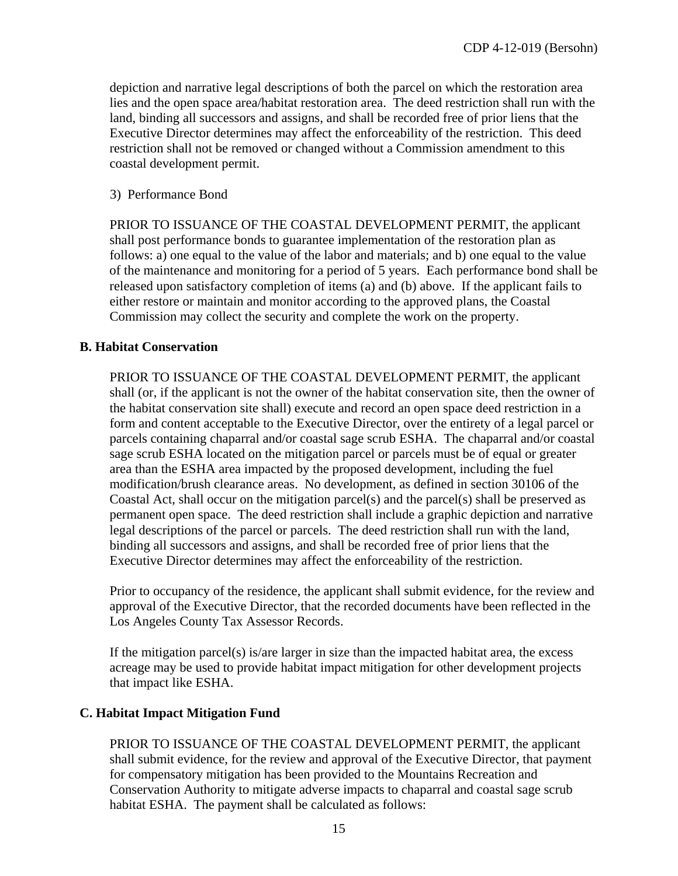depiction and narrative legal descriptions of both the parcel on which the restoration area lies and the open space area/habitat restoration area. The deed restriction shall run with the land, binding all successors and assigns, and shall be recorded free of prior liens that the Executive Director determines may affect the enforceability of the restriction. This deed restriction shall not be removed or changed without a Commission amendment to this coastal development permit.

#### 3) Performance Bond

PRIOR TO ISSUANCE OF THE COASTAL DEVELOPMENT PERMIT, the applicant shall post performance bonds to guarantee implementation of the restoration plan as follows: a) one equal to the value of the labor and materials; and b) one equal to the value of the maintenance and monitoring for a period of 5 years. Each performance bond shall be released upon satisfactory completion of items (a) and (b) above. If the applicant fails to either restore or maintain and monitor according to the approved plans, the Coastal Commission may collect the security and complete the work on the property.

#### **B. Habitat Conservation**

PRIOR TO ISSUANCE OF THE COASTAL DEVELOPMENT PERMIT, the applicant shall (or, if the applicant is not the owner of the habitat conservation site, then the owner of the habitat conservation site shall) execute and record an open space deed restriction in a form and content acceptable to the Executive Director, over the entirety of a legal parcel or parcels containing chaparral and/or coastal sage scrub ESHA. The chaparral and/or coastal sage scrub ESHA located on the mitigation parcel or parcels must be of equal or greater area than the ESHA area impacted by the proposed development, including the fuel modification/brush clearance areas. No development, as defined in section 30106 of the Coastal Act, shall occur on the mitigation parcel(s) and the parcel(s) shall be preserved as permanent open space. The deed restriction shall include a graphic depiction and narrative legal descriptions of the parcel or parcels. The deed restriction shall run with the land, binding all successors and assigns, and shall be recorded free of prior liens that the Executive Director determines may affect the enforceability of the restriction.

Prior to occupancy of the residence, the applicant shall submit evidence, for the review and approval of the Executive Director, that the recorded documents have been reflected in the Los Angeles County Tax Assessor Records.

If the mitigation parcel(s) is/are larger in size than the impacted habitat area, the excess acreage may be used to provide habitat impact mitigation for other development projects that impact like ESHA.

### **C. Habitat Impact Mitigation Fund**

PRIOR TO ISSUANCE OF THE COASTAL DEVELOPMENT PERMIT, the applicant shall submit evidence, for the review and approval of the Executive Director, that payment for compensatory mitigation has been provided to the Mountains Recreation and Conservation Authority to mitigate adverse impacts to chaparral and coastal sage scrub habitat ESHA. The payment shall be calculated as follows: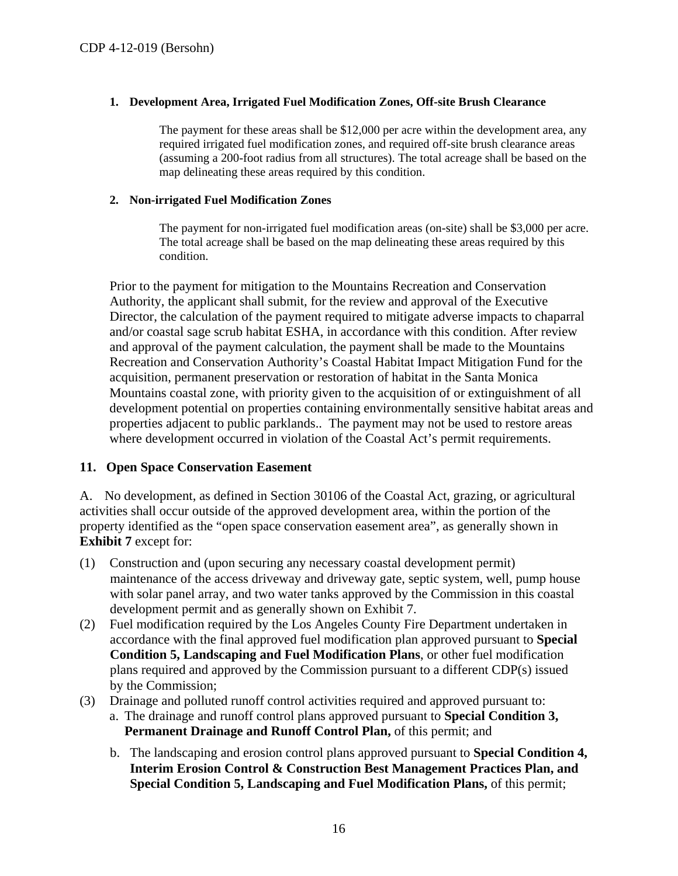#### **1. Development Area, Irrigated Fuel Modification Zones, Off-site Brush Clearance**

The payment for these areas shall be \$12,000 per acre within the development area, any required irrigated fuel modification zones, and required off-site brush clearance areas (assuming a 200-foot radius from all structures). The total acreage shall be based on the map delineating these areas required by this condition.

#### **2. Non-irrigated Fuel Modification Zones**

The payment for non-irrigated fuel modification areas (on-site) shall be \$3,000 per acre. The total acreage shall be based on the map delineating these areas required by this condition.

Prior to the payment for mitigation to the Mountains Recreation and Conservation Authority, the applicant shall submit, for the review and approval of the Executive Director, the calculation of the payment required to mitigate adverse impacts to chaparral and/or coastal sage scrub habitat ESHA, in accordance with this condition. After review and approval of the payment calculation, the payment shall be made to the Mountains Recreation and Conservation Authority's Coastal Habitat Impact Mitigation Fund for the acquisition, permanent preservation or restoration of habitat in the Santa Monica Mountains coastal zone, with priority given to the acquisition of or extinguishment of all development potential on properties containing environmentally sensitive habitat areas and properties adjacent to public parklands.. The payment may not be used to restore areas where development occurred in violation of the Coastal Act's permit requirements.

#### <span id="page-15-0"></span>**11. Open Space Conservation Easement**

A. No development, as defined in Section 30106 of the Coastal Act, grazing, or agricultural activities shall occur outside of the approved development area, within the portion of the property identified as the "open space conservation easement area", as generally shown in **Exhibit 7** except for:

- (1) Construction and (upon securing any necessary coastal development permit) maintenance of the access driveway and driveway gate, septic system, well, pump house with solar panel array, and two water tanks approved by the Commission in this coastal development permit and as generally shown on Exhibit 7.
- (2) Fuel modification required by the Los Angeles County Fire Department undertaken in accordance with the final approved fuel modification plan approved pursuant to **Special Condition 5, Landscaping and Fuel Modification Plans**, or other fuel modification plans required and approved by the Commission pursuant to a different CDP(s) issued by the Commission;
- (3) Drainage and polluted runoff control activities required and approved pursuant to: a. The drainage and runoff control plans approved pursuant to **Special Condition 3, Permanent Drainage and Runoff Control Plan,** of this permit; and
	- b. The landscaping and erosion control plans approved pursuant to **Special Condition 4, Interim Erosion Control & Construction Best Management Practices Plan, and Special Condition 5, Landscaping and Fuel Modification Plans,** of this permit;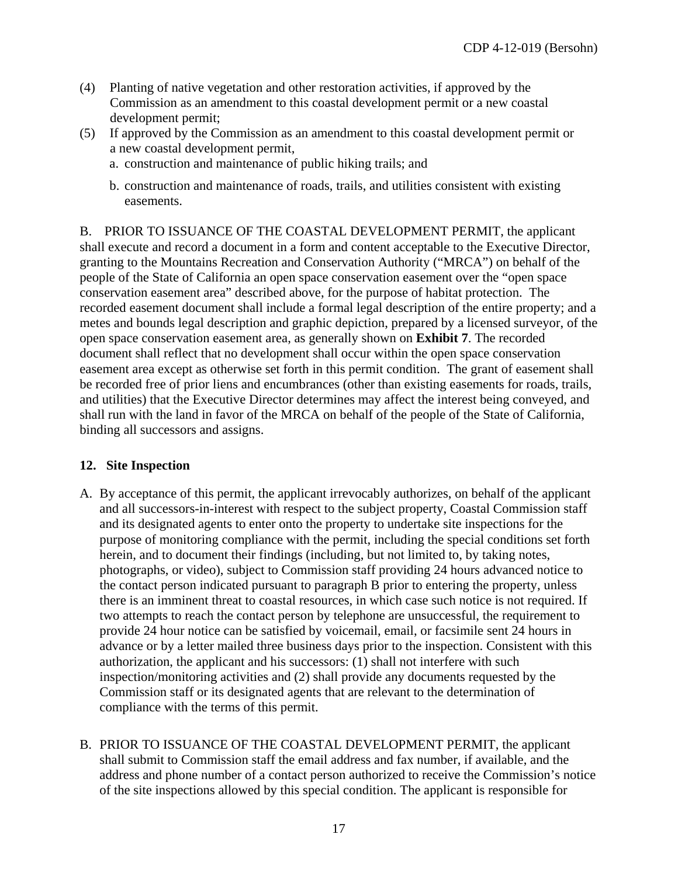- (4) Planting of native vegetation and other restoration activities, if approved by the Commission as an amendment to this coastal development permit or a new coastal development permit;
- (5) If approved by the Commission as an amendment to this coastal development permit or a new coastal development permit,
	- a. construction and maintenance of public hiking trails; and
	- b. construction and maintenance of roads, trails, and utilities consistent with existing easements.

B. PRIOR TO ISSUANCE OF THE COASTAL DEVELOPMENT PERMIT, the applicant shall execute and record a document in a form and content acceptable to the Executive Director, granting to the Mountains Recreation and Conservation Authority ("MRCA") on behalf of the people of the State of California an open space conservation easement over the "open space conservation easement area" described above, for the purpose of habitat protection. The recorded easement document shall include a formal legal description of the entire property; and a metes and bounds legal description and graphic depiction, prepared by a licensed surveyor, of the open space conservation easement area, as generally shown on **Exhibit 7**. The recorded document shall reflect that no development shall occur within the open space conservation easement area except as otherwise set forth in this permit condition. The grant of easement shall be recorded free of prior liens and encumbrances (other than existing easements for roads, trails, and utilities) that the Executive Director determines may affect the interest being conveyed, and shall run with the land in favor of the MRCA on behalf of the people of the State of California, binding all successors and assigns.

### <span id="page-16-0"></span>**12. Site Inspection**

- A. By acceptance of this permit, the applicant irrevocably authorizes, on behalf of the applicant and all successors-in-interest with respect to the subject property, Coastal Commission staff and its designated agents to enter onto the property to undertake site inspections for the purpose of monitoring compliance with the permit, including the special conditions set forth herein, and to document their findings (including, but not limited to, by taking notes, photographs, or video), subject to Commission staff providing 24 hours advanced notice to the contact person indicated pursuant to paragraph B prior to entering the property, unless there is an imminent threat to coastal resources, in which case such notice is not required. If two attempts to reach the contact person by telephone are unsuccessful, the requirement to provide 24 hour notice can be satisfied by voicemail, email, or facsimile sent 24 hours in advance or by a letter mailed three business days prior to the inspection. Consistent with this authorization, the applicant and his successors: (1) shall not interfere with such inspection/monitoring activities and (2) shall provide any documents requested by the Commission staff or its designated agents that are relevant to the determination of compliance with the terms of this permit.
- B. PRIOR TO ISSUANCE OF THE COASTAL DEVELOPMENT PERMIT, the applicant shall submit to Commission staff the email address and fax number, if available, and the address and phone number of a contact person authorized to receive the Commission's notice of the site inspections allowed by this special condition. The applicant is responsible for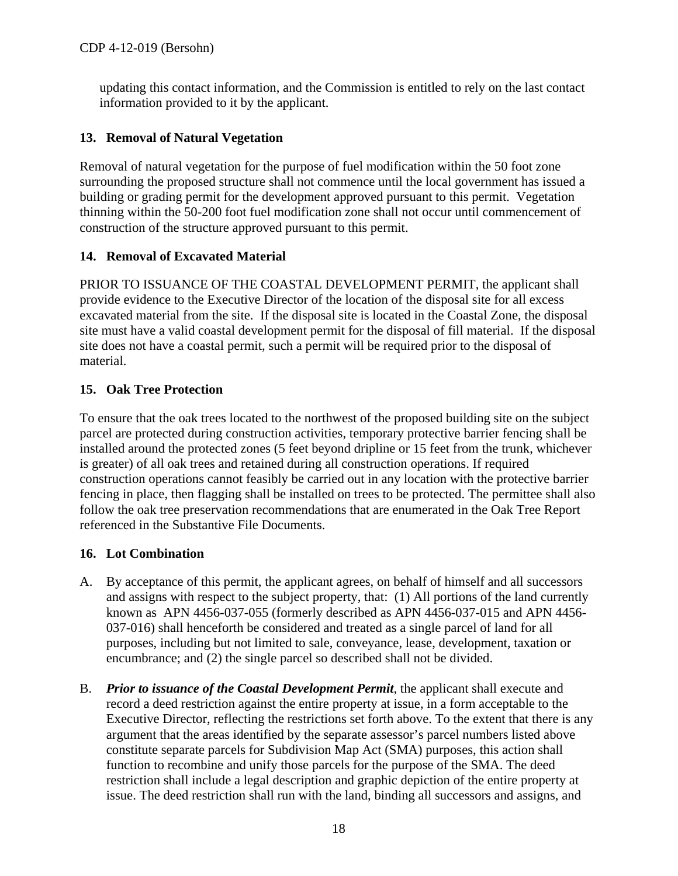updating this contact information, and the Commission is entitled to rely on the last contact information provided to it by the applicant.

### <span id="page-17-0"></span>**13. Removal of Natural Vegetation**

Removal of natural vegetation for the purpose of fuel modification within the 50 foot zone surrounding the proposed structure shall not commence until the local government has issued a building or grading permit for the development approved pursuant to this permit. Vegetation thinning within the 50-200 foot fuel modification zone shall not occur until commencement of construction of the structure approved pursuant to this permit.

### <span id="page-17-1"></span>**14. Removal of Excavated Material**

PRIOR TO ISSUANCE OF THE COASTAL DEVELOPMENT PERMIT, the applicant shall provide evidence to the Executive Director of the location of the disposal site for all excess excavated material from the site. If the disposal site is located in the Coastal Zone, the disposal site must have a valid coastal development permit for the disposal of fill material. If the disposal site does not have a coastal permit, such a permit will be required prior to the disposal of material.

### <span id="page-17-2"></span>**15. Oak Tree Protection**

To ensure that the oak trees located to the northwest of the proposed building site on the subject parcel are protected during construction activities, temporary protective barrier fencing shall be installed around the protected zones (5 feet beyond dripline or 15 feet from the trunk, whichever is greater) of all oak trees and retained during all construction operations. If required construction operations cannot feasibly be carried out in any location with the protective barrier fencing in place, then flagging shall be installed on trees to be protected. The permittee shall also follow the oak tree preservation recommendations that are enumerated in the Oak Tree Report referenced in the Substantive File Documents.

### <span id="page-17-3"></span>**16. Lot Combination**

- A. By acceptance of this permit, the applicant agrees, on behalf of himself and all successors and assigns with respect to the subject property, that: (1) All portions of the land currently known as APN 4456-037-055 (formerly described as APN 4456-037-015 and APN 4456- 037-016) shall henceforth be considered and treated as a single parcel of land for all purposes, including but not limited to sale, conveyance, lease, development, taxation or encumbrance; and (2) the single parcel so described shall not be divided.
- B. *Prior to issuance of the Coastal Development Permit*, the applicant shall execute and record a deed restriction against the entire property at issue, in a form acceptable to the Executive Director, reflecting the restrictions set forth above. To the extent that there is any argument that the areas identified by the separate assessor's parcel numbers listed above constitute separate parcels for Subdivision Map Act (SMA) purposes, this action shall function to recombine and unify those parcels for the purpose of the SMA. The deed restriction shall include a legal description and graphic depiction of the entire property at issue. The deed restriction shall run with the land, binding all successors and assigns, and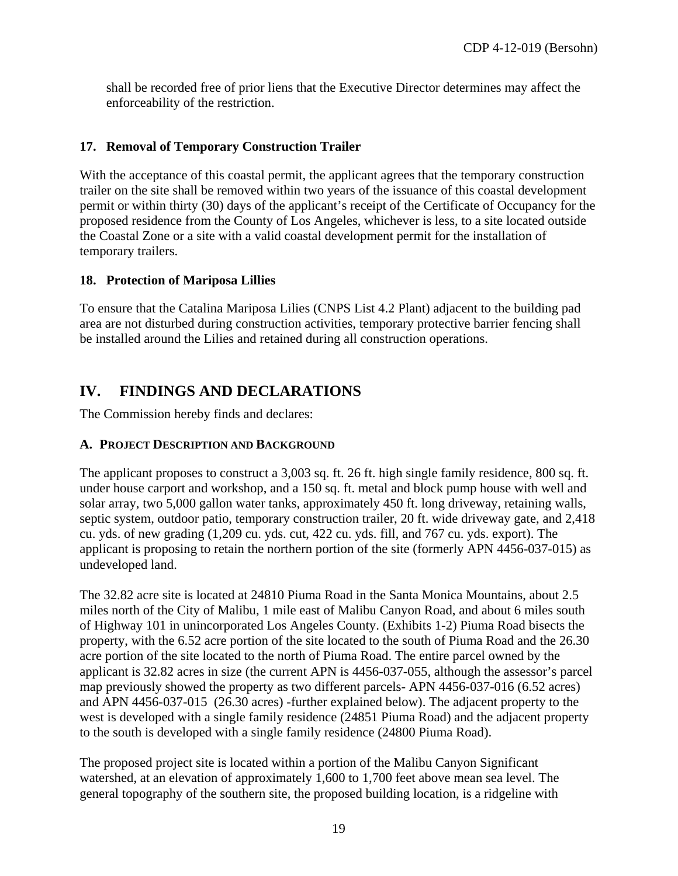shall be recorded free of prior liens that the Executive Director determines may affect the enforceability of the restriction.

### <span id="page-18-0"></span>**17. Removal of Temporary Construction Trailer**

With the acceptance of this coastal permit, the applicant agrees that the temporary construction trailer on the site shall be removed within two years of the issuance of this coastal development permit or within thirty (30) days of the applicant's receipt of the Certificate of Occupancy for the proposed residence from the County of Los Angeles, whichever is less, to a site located outside the Coastal Zone or a site with a valid coastal development permit for the installation of temporary trailers.

### <span id="page-18-1"></span>**18. Protection of Mariposa Lillies**

To ensure that the Catalina Mariposa Lilies (CNPS List 4.2 Plant) adjacent to the building pad area are not disturbed during construction activities, temporary protective barrier fencing shall be installed around the Lilies and retained during all construction operations.

## <span id="page-18-2"></span>**IV. FINDINGS AND DECLARATIONS**

The Commission hereby finds and declares:

### <span id="page-18-3"></span>**A. PROJECT DESCRIPTION AND BACKGROUND**

The applicant proposes to construct a 3,003 sq. ft. 26 ft. high single family residence, 800 sq. ft. under house carport and workshop, and a 150 sq. ft. metal and block pump house with well and solar array, two 5,000 gallon water tanks, approximately 450 ft. long driveway, retaining walls, septic system, outdoor patio, temporary construction trailer, 20 ft. wide driveway gate, and 2,418 cu. yds. of new grading (1,209 cu. yds. cut, 422 cu. yds. fill, and 767 cu. yds. export). The applicant is proposing to retain the northern portion of the site (formerly APN 4456-037-015) as undeveloped land.

The 32.82 acre site is located at 24810 Piuma Road in the Santa Monica Mountains, about 2.5 miles north of the City of Malibu, 1 mile east of Malibu Canyon Road, and about 6 miles south of Highway 101 in unincorporated Los Angeles County. (Exhibits 1-2) Piuma Road bisects the property, with the 6.52 acre portion of the site located to the south of Piuma Road and the 26.30 acre portion of the site located to the north of Piuma Road. The entire parcel owned by the applicant is 32.82 acres in size (the current APN is 4456-037-055, although the assessor's parcel map previously showed the property as two different parcels- APN 4456-037-016 (6.52 acres) and APN 4456-037-015 (26.30 acres) -further explained below). The adjacent property to the west is developed with a single family residence (24851 Piuma Road) and the adjacent property to the south is developed with a single family residence (24800 Piuma Road).

The proposed project site is located within a portion of the Malibu Canyon Significant watershed, at an elevation of approximately 1,600 to 1,700 feet above mean sea level. The general topography of the southern site, the proposed building location, is a ridgeline with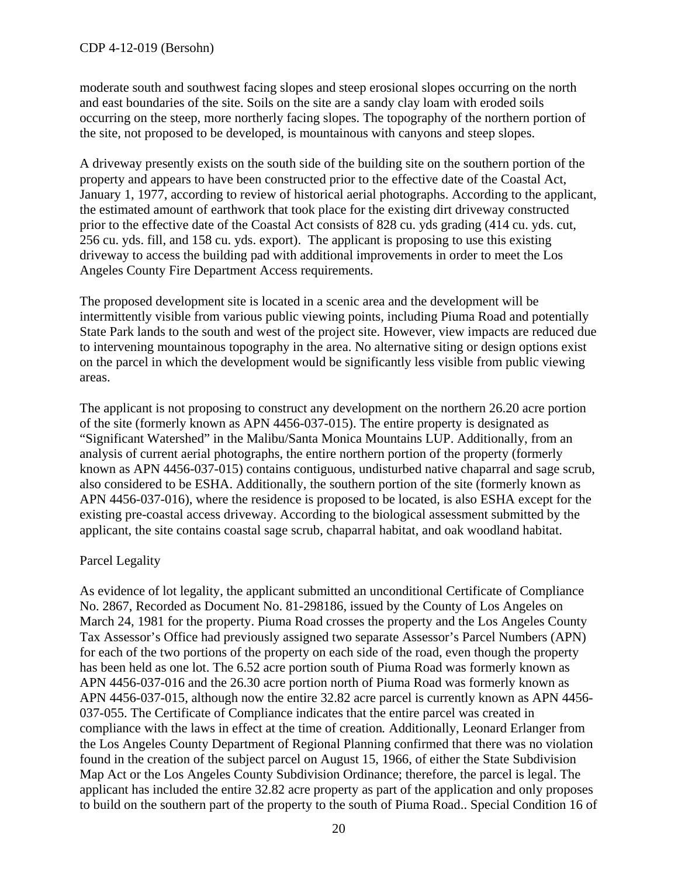moderate south and southwest facing slopes and steep erosional slopes occurring on the north and east boundaries of the site. Soils on the site are a sandy clay loam with eroded soils occurring on the steep, more northerly facing slopes. The topography of the northern portion of the site, not proposed to be developed, is mountainous with canyons and steep slopes.

A driveway presently exists on the south side of the building site on the southern portion of the property and appears to have been constructed prior to the effective date of the Coastal Act, January 1, 1977, according to review of historical aerial photographs. According to the applicant, the estimated amount of earthwork that took place for the existing dirt driveway constructed prior to the effective date of the Coastal Act consists of 828 cu. yds grading (414 cu. yds. cut, 256 cu. yds. fill, and 158 cu. yds. export). The applicant is proposing to use this existing driveway to access the building pad with additional improvements in order to meet the Los Angeles County Fire Department Access requirements.

The proposed development site is located in a scenic area and the development will be intermittently visible from various public viewing points, including Piuma Road and potentially State Park lands to the south and west of the project site. However, view impacts are reduced due to intervening mountainous topography in the area. No alternative siting or design options exist on the parcel in which the development would be significantly less visible from public viewing areas.

The applicant is not proposing to construct any development on the northern 26.20 acre portion of the site (formerly known as APN 4456-037-015). The entire property is designated as "Significant Watershed" in the Malibu/Santa Monica Mountains LUP. Additionally, from an analysis of current aerial photographs, the entire northern portion of the property (formerly known as APN 4456-037-015) contains contiguous, undisturbed native chaparral and sage scrub, also considered to be ESHA. Additionally, the southern portion of the site (formerly known as APN 4456-037-016), where the residence is proposed to be located, is also ESHA except for the existing pre-coastal access driveway. According to the biological assessment submitted by the applicant, the site contains coastal sage scrub, chaparral habitat, and oak woodland habitat.

### Parcel Legality

As evidence of lot legality, the applicant submitted an unconditional Certificate of Compliance No. 2867, Recorded as Document No. 81-298186, issued by the County of Los Angeles on March 24, 1981 for the property. Piuma Road crosses the property and the Los Angeles County Tax Assessor's Office had previously assigned two separate Assessor's Parcel Numbers (APN) for each of the two portions of the property on each side of the road, even though the property has been held as one lot. The 6.52 acre portion south of Piuma Road was formerly known as APN 4456-037-016 and the 26.30 acre portion north of Piuma Road was formerly known as APN 4456-037-015, although now the entire 32.82 acre parcel is currently known as APN 4456- 037-055. The Certificate of Compliance indicates that the entire parcel was created in compliance with the laws in effect at the time of creation*.* Additionally, Leonard Erlanger from the Los Angeles County Department of Regional Planning confirmed that there was no violation found in the creation of the subject parcel on August 15, 1966, of either the State Subdivision Map Act or the Los Angeles County Subdivision Ordinance; therefore, the parcel is legal. The applicant has included the entire 32.82 acre property as part of the application and only proposes to build on the southern part of the property to the south of Piuma Road.. Special Condition 16 of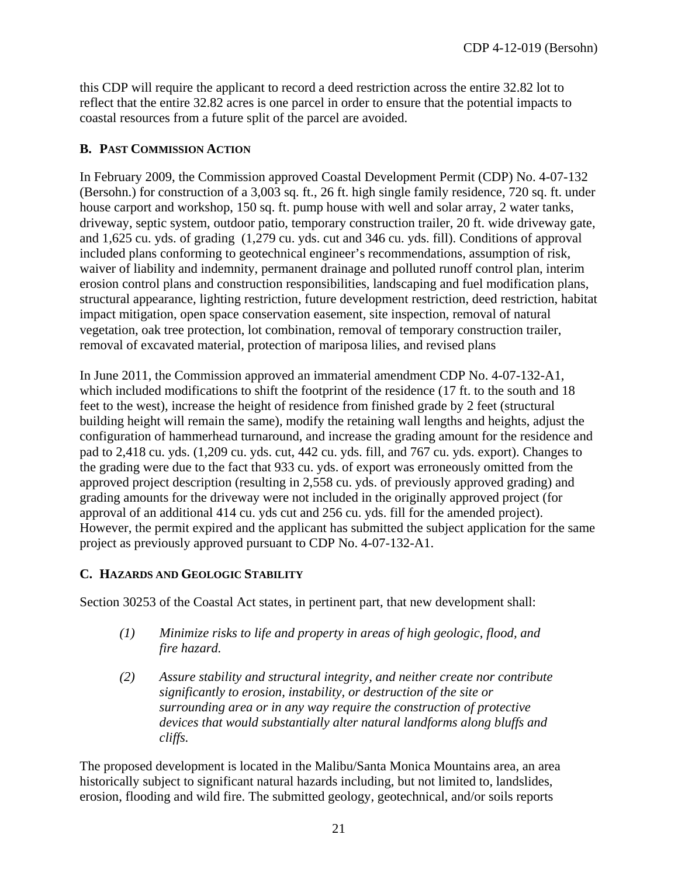this CDP will require the applicant to record a deed restriction across the entire 32.82 lot to reflect that the entire 32.82 acres is one parcel in order to ensure that the potential impacts to coastal resources from a future split of the parcel are avoided.

### <span id="page-20-0"></span>**B. PAST COMMISSION ACTION**

In February 2009, the Commission approved Coastal Development Permit (CDP) No. 4-07-132 (Bersohn.) for construction of a 3,003 sq. ft., 26 ft. high single family residence, 720 sq. ft. under house carport and workshop, 150 sq. ft. pump house with well and solar array, 2 water tanks, driveway, septic system, outdoor patio, temporary construction trailer, 20 ft. wide driveway gate, and 1,625 cu. yds. of grading (1,279 cu. yds. cut and 346 cu. yds. fill). Conditions of approval included plans conforming to geotechnical engineer's recommendations, assumption of risk, waiver of liability and indemnity, permanent drainage and polluted runoff control plan, interim erosion control plans and construction responsibilities, landscaping and fuel modification plans, structural appearance, lighting restriction, future development restriction, deed restriction, habitat impact mitigation, open space conservation easement, site inspection, removal of natural vegetation, oak tree protection, lot combination, removal of temporary construction trailer, removal of excavated material, protection of mariposa lilies, and revised plans

In June 2011, the Commission approved an immaterial amendment CDP No. 4-07-132-A1, which included modifications to shift the footprint of the residence (17 ft. to the south and 18 feet to the west), increase the height of residence from finished grade by 2 feet (structural building height will remain the same), modify the retaining wall lengths and heights, adjust the configuration of hammerhead turnaround, and increase the grading amount for the residence and pad to 2,418 cu. yds. (1,209 cu. yds. cut, 442 cu. yds. fill, and 767 cu. yds. export). Changes to the grading were due to the fact that 933 cu. yds. of export was erroneously omitted from the approved project description (resulting in 2,558 cu. yds. of previously approved grading) and grading amounts for the driveway were not included in the originally approved project (for approval of an additional 414 cu. yds cut and 256 cu. yds. fill for the amended project). However, the permit expired and the applicant has submitted the subject application for the same project as previously approved pursuant to CDP No. 4-07-132-A1.

### <span id="page-20-1"></span>**C. HAZARDS AND GEOLOGIC STABILITY**

Section 30253 of the Coastal Act states, in pertinent part, that new development shall:

- *(1) Minimize risks to life and property in areas of high geologic, flood, and fire hazard.*
- *(2) Assure stability and structural integrity, and neither create nor contribute significantly to erosion, instability, or destruction of the site or surrounding area or in any way require the construction of protective devices that would substantially alter natural landforms along bluffs and cliffs.*

The proposed development is located in the Malibu/Santa Monica Mountains area, an area historically subject to significant natural hazards including, but not limited to, landslides, erosion, flooding and wild fire. The submitted geology, geotechnical, and/or soils reports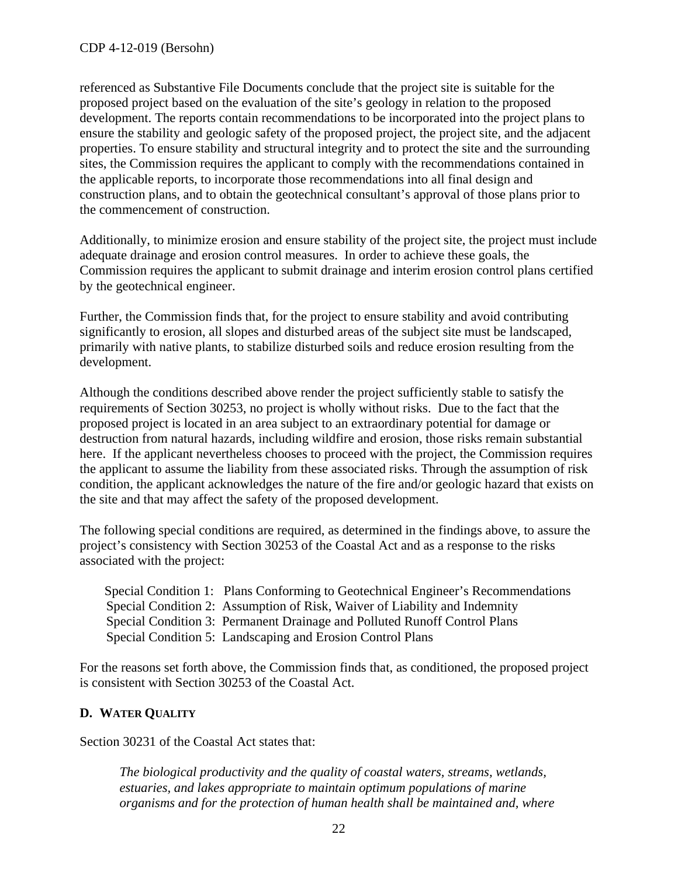referenced as Substantive File Documents conclude that the project site is suitable for the proposed project based on the evaluation of the site's geology in relation to the proposed development. The reports contain recommendations to be incorporated into the project plans to ensure the stability and geologic safety of the proposed project, the project site, and the adjacent properties. To ensure stability and structural integrity and to protect the site and the surrounding sites, the Commission requires the applicant to comply with the recommendations contained in the applicable reports, to incorporate those recommendations into all final design and construction plans, and to obtain the geotechnical consultant's approval of those plans prior to the commencement of construction.

Additionally, to minimize erosion and ensure stability of the project site, the project must include adequate drainage and erosion control measures. In order to achieve these goals, the Commission requires the applicant to submit drainage and interim erosion control plans certified by the geotechnical engineer.

Further, the Commission finds that, for the project to ensure stability and avoid contributing significantly to erosion, all slopes and disturbed areas of the subject site must be landscaped, primarily with native plants, to stabilize disturbed soils and reduce erosion resulting from the development.

Although the conditions described above render the project sufficiently stable to satisfy the requirements of Section 30253, no project is wholly without risks. Due to the fact that the proposed project is located in an area subject to an extraordinary potential for damage or destruction from natural hazards, including wildfire and erosion, those risks remain substantial here. If the applicant nevertheless chooses to proceed with the project, the Commission requires the applicant to assume the liability from these associated risks. Through the assumption of risk condition, the applicant acknowledges the nature of the fire and/or geologic hazard that exists on the site and that may affect the safety of the proposed development.

The following special conditions are required, as determined in the findings above, to assure the project's consistency with Section 30253 of the Coastal Act and as a response to the risks associated with the project:

Special Condition 1: Plans Conforming to Geotechnical Engineer's Recommendations Special Condition 2: Assumption of Risk, Waiver of Liability and Indemnity Special Condition 3: Permanent Drainage and Polluted Runoff Control Plans Special Condition 5: Landscaping and Erosion Control Plans

For the reasons set forth above, the Commission finds that, as conditioned, the proposed project is consistent with Section 30253 of the Coastal Act.

### <span id="page-21-0"></span>**D. WATER QUALITY**

Section 30231 of the Coastal Act states that:

*The biological productivity and the quality of coastal waters, streams, wetlands, estuaries, and lakes appropriate to maintain optimum populations of marine organisms and for the protection of human health shall be maintained and, where*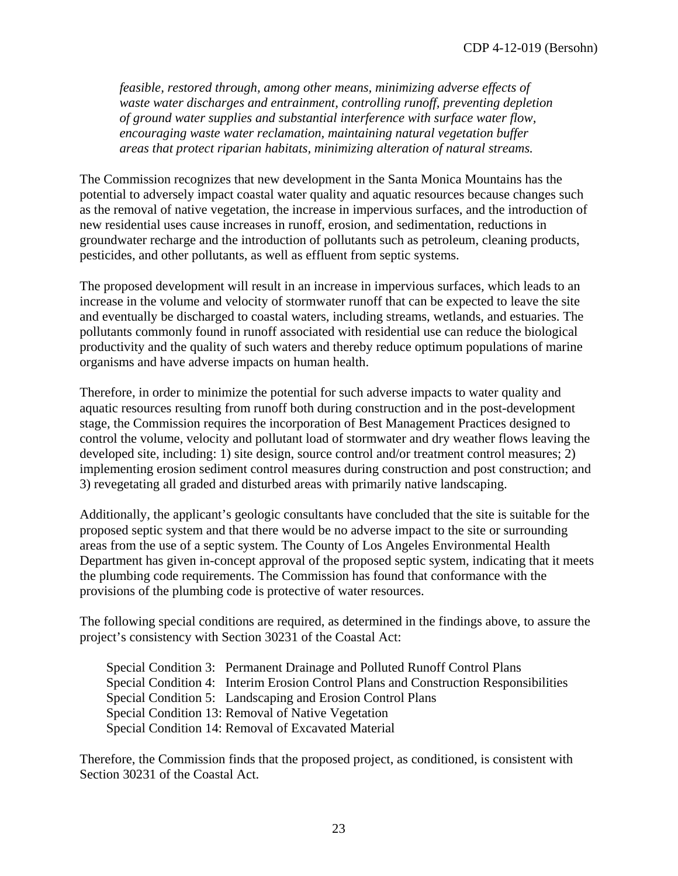*feasible, restored through, among other means, minimizing adverse effects of waste water discharges and entrainment, controlling runoff, preventing depletion of ground water supplies and substantial interference with surface water flow, encouraging waste water reclamation, maintaining natural vegetation buffer areas that protect riparian habitats, minimizing alteration of natural streams.* 

The Commission recognizes that new development in the Santa Monica Mountains has the potential to adversely impact coastal water quality and aquatic resources because changes such as the removal of native vegetation, the increase in impervious surfaces, and the introduction of new residential uses cause increases in runoff, erosion, and sedimentation, reductions in groundwater recharge and the introduction of pollutants such as petroleum, cleaning products, pesticides, and other pollutants, as well as effluent from septic systems.

The proposed development will result in an increase in impervious surfaces, which leads to an increase in the volume and velocity of stormwater runoff that can be expected to leave the site and eventually be discharged to coastal waters, including streams, wetlands, and estuaries. The pollutants commonly found in runoff associated with residential use can reduce the biological productivity and the quality of such waters and thereby reduce optimum populations of marine organisms and have adverse impacts on human health.

Therefore, in order to minimize the potential for such adverse impacts to water quality and aquatic resources resulting from runoff both during construction and in the post-development stage, the Commission requires the incorporation of Best Management Practices designed to control the volume, velocity and pollutant load of stormwater and dry weather flows leaving the developed site, including: 1) site design, source control and/or treatment control measures; 2) implementing erosion sediment control measures during construction and post construction; and 3) revegetating all graded and disturbed areas with primarily native landscaping.

Additionally, the applicant's geologic consultants have concluded that the site is suitable for the proposed septic system and that there would be no adverse impact to the site or surrounding areas from the use of a septic system. The County of Los Angeles Environmental Health Department has given in-concept approval of the proposed septic system, indicating that it meets the plumbing code requirements. The Commission has found that conformance with the provisions of the plumbing code is protective of water resources.

The following special conditions are required, as determined in the findings above, to assure the project's consistency with Section 30231 of the Coastal Act:

Special Condition 3: Permanent Drainage and Polluted Runoff Control Plans Special Condition 4: Interim Erosion Control Plans and Construction Responsibilities Special Condition 5: Landscaping and Erosion Control Plans Special Condition 13: Removal of Native Vegetation Special Condition 14: Removal of Excavated Material

Therefore, the Commission finds that the proposed project, as conditioned, is consistent with Section 30231 of the Coastal Act.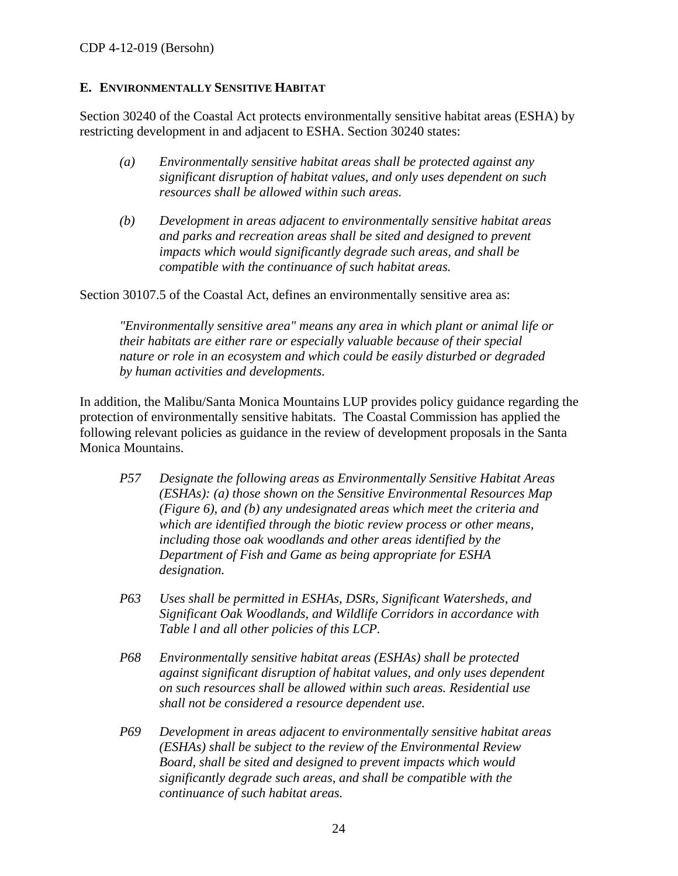### <span id="page-23-0"></span>**E. ENVIRONMENTALLY SENSITIVE HABITAT**

Section 30240 of the Coastal Act protects environmentally sensitive habitat areas (ESHA) by restricting development in and adjacent to ESHA. Section 30240 states:

- *(a) Environmentally sensitive habitat areas shall be protected against any significant disruption of habitat values, and only uses dependent on such resources shall be allowed within such areas.*
- *(b) Development in areas adjacent to environmentally sensitive habitat areas and parks and recreation areas shall be sited and designed to prevent impacts which would significantly degrade such areas, and shall be compatible with the continuance of such habitat areas.*

Section 30107.5 of the Coastal Act, defines an environmentally sensitive area as:

*"Environmentally sensitive area" means any area in which plant or animal life or their habitats are either rare or especially valuable because of their special nature or role in an ecosystem and which could be easily disturbed or degraded by human activities and developments.* 

In addition, the Malibu/Santa Monica Mountains LUP provides policy guidance regarding the protection of environmentally sensitive habitats. The Coastal Commission has applied the following relevant policies as guidance in the review of development proposals in the Santa Monica Mountains.

- *P57 Designate the following areas as Environmentally Sensitive Habitat Areas (ESHAs): (a) those shown on the Sensitive Environmental Resources Map (Figure 6), and (b) any undesignated areas which meet the criteria and which are identified through the biotic review process or other means, including those oak woodlands and other areas identified by the Department of Fish and Game as being appropriate for ESHA designation.*
- *P63 Uses shall be permitted in ESHAs, DSRs, Significant Watersheds, and Significant Oak Woodlands, and Wildlife Corridors in accordance with Table l and all other policies of this LCP.*
- *P68 Environmentally sensitive habitat areas (ESHAs) shall be protected against significant disruption of habitat values, and only uses dependent on such resources shall be allowed within such areas. Residential use shall not be considered a resource dependent use.*
- *P69 Development in areas adjacent to environmentally sensitive habitat areas (ESHAs) shall be subject to the review of the Environmental Review Board, shall be sited and designed to prevent impacts which would significantly degrade such areas, and shall be compatible with the continuance of such habitat areas.*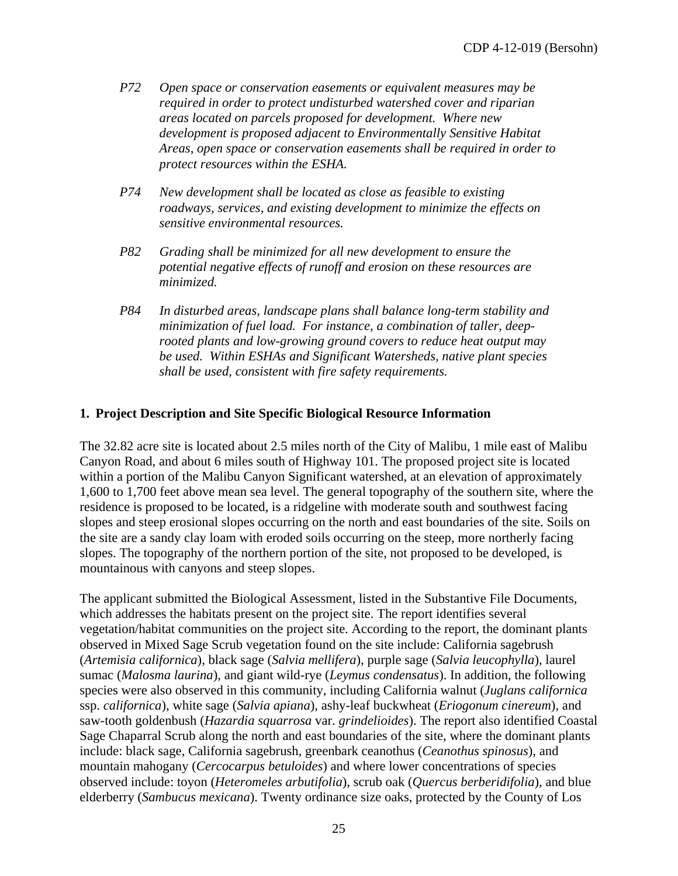- *P72 Open space or conservation easements or equivalent measures may be required in order to protect undisturbed watershed cover and riparian areas located on parcels proposed for development. Where new development is proposed adjacent to Environmentally Sensitive Habitat Areas, open space or conservation easements shall be required in order to protect resources within the ESHA.*
- *P74 New development shall be located as close as feasible to existing roadways, services, and existing development to minimize the effects on sensitive environmental resources.*
- *P82 Grading shall be minimized for all new development to ensure the potential negative effects of runoff and erosion on these resources are minimized.*
- *P84 In disturbed areas, landscape plans shall balance long-term stability and minimization of fuel load. For instance, a combination of taller, deeprooted plants and low-growing ground covers to reduce heat output may be used. Within ESHAs and Significant Watersheds, native plant species shall be used, consistent with fire safety requirements.*

#### **1. Project Description and Site Specific Biological Resource Information**

The 32.82 acre site is located about 2.5 miles north of the City of Malibu, 1 mile east of Malibu Canyon Road, and about 6 miles south of Highway 101. The proposed project site is located within a portion of the Malibu Canyon Significant watershed, at an elevation of approximately 1,600 to 1,700 feet above mean sea level. The general topography of the southern site, where the residence is proposed to be located, is a ridgeline with moderate south and southwest facing slopes and steep erosional slopes occurring on the north and east boundaries of the site. Soils on the site are a sandy clay loam with eroded soils occurring on the steep, more northerly facing slopes. The topography of the northern portion of the site, not proposed to be developed, is mountainous with canyons and steep slopes.

The applicant submitted the Biological Assessment, listed in the Substantive File Documents, which addresses the habitats present on the project site. The report identifies several vegetation/habitat communities on the project site. According to the report, the dominant plants observed in Mixed Sage Scrub vegetation found on the site include: California sagebrush (*Artemisia californica*), black sage (*Salvia mellifera*), purple sage (*Salvia leucophylla*), laurel sumac (*Malosma laurina*), and giant wild-rye (*Leymus condensatus*). In addition, the following species were also observed in this community, including California walnut (*Juglans californica* ssp. *californica*), white sage (*Salvia apiana*), ashy-leaf buckwheat (*Eriogonum cinereum*), and saw-tooth goldenbush (*Hazardia squarrosa* var. *grindelioides*). The report also identified Coastal Sage Chaparral Scrub along the north and east boundaries of the site, where the dominant plants include: black sage, California sagebrush, greenbark ceanothus (*Ceanothus spinosus*), and mountain mahogany (*Cercocarpus betuloides*) and where lower concentrations of species observed include: toyon (*Heteromeles arbutifolia*), scrub oak (*Quercus berberidifolia*), and blue elderberry (*Sambucus mexicana*). Twenty ordinance size oaks, protected by the County of Los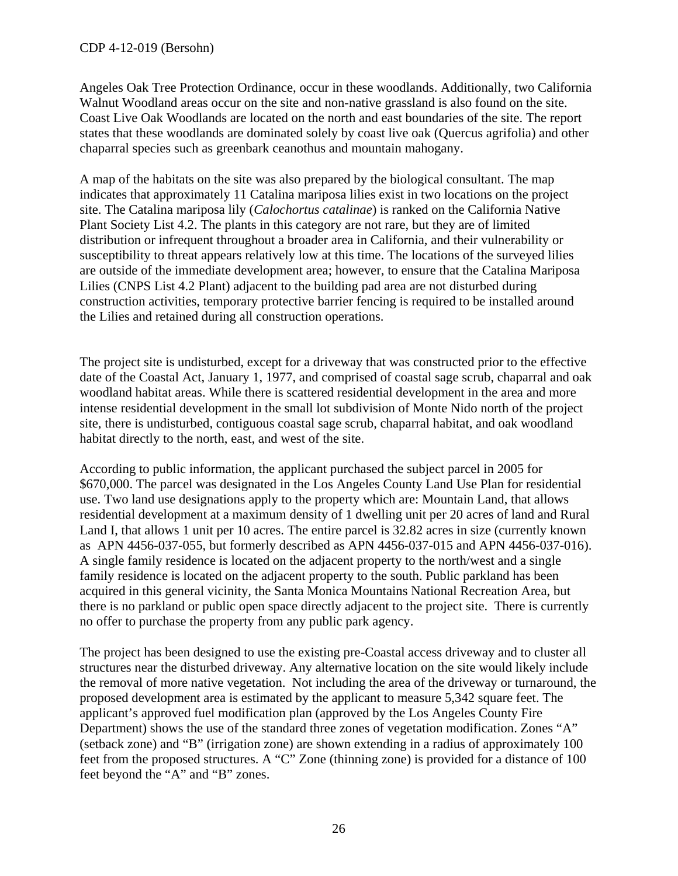#### CDP 4-12-019 (Bersohn)

Angeles Oak Tree Protection Ordinance, occur in these woodlands. Additionally, two California Walnut Woodland areas occur on the site and non-native grassland is also found on the site. Coast Live Oak Woodlands are located on the north and east boundaries of the site. The report states that these woodlands are dominated solely by coast live oak (Quercus agrifolia) and other chaparral species such as greenbark ceanothus and mountain mahogany.

A map of the habitats on the site was also prepared by the biological consultant. The map indicates that approximately 11 Catalina mariposa lilies exist in two locations on the project site. The Catalina mariposa lily (*Calochortus catalinae*) is ranked on the California Native Plant Society List 4.2. The plants in this category are not rare, but they are of limited distribution or infrequent throughout a broader area in California, and their vulnerability or susceptibility to threat appears relatively low at this time. The locations of the surveyed lilies are outside of the immediate development area; however, to ensure that the Catalina Mariposa Lilies (CNPS List 4.2 Plant) adjacent to the building pad area are not disturbed during construction activities, temporary protective barrier fencing is required to be installed around the Lilies and retained during all construction operations.

The project site is undisturbed, except for a driveway that was constructed prior to the effective date of the Coastal Act, January 1, 1977, and comprised of coastal sage scrub, chaparral and oak woodland habitat areas. While there is scattered residential development in the area and more intense residential development in the small lot subdivision of Monte Nido north of the project site, there is undisturbed, contiguous coastal sage scrub, chaparral habitat, and oak woodland habitat directly to the north, east, and west of the site.

According to public information, the applicant purchased the subject parcel in 2005 for \$670,000. The parcel was designated in the Los Angeles County Land Use Plan for residential use. Two land use designations apply to the property which are: Mountain Land, that allows residential development at a maximum density of 1 dwelling unit per 20 acres of land and Rural Land I, that allows 1 unit per 10 acres. The entire parcel is 32.82 acres in size (currently known as APN 4456-037-055, but formerly described as APN 4456-037-015 and APN 4456-037-016). A single family residence is located on the adjacent property to the north/west and a single family residence is located on the adjacent property to the south. Public parkland has been acquired in this general vicinity, the Santa Monica Mountains National Recreation Area, but there is no parkland or public open space directly adjacent to the project site. There is currently no offer to purchase the property from any public park agency.

The project has been designed to use the existing pre-Coastal access driveway and to cluster all structures near the disturbed driveway. Any alternative location on the site would likely include the removal of more native vegetation. Not including the area of the driveway or turnaround, the proposed development area is estimated by the applicant to measure 5,342 square feet. The applicant's approved fuel modification plan (approved by the Los Angeles County Fire Department) shows the use of the standard three zones of vegetation modification. Zones "A" (setback zone) and "B" (irrigation zone) are shown extending in a radius of approximately 100 feet from the proposed structures. A "C" Zone (thinning zone) is provided for a distance of 100 feet beyond the "A" and "B" zones.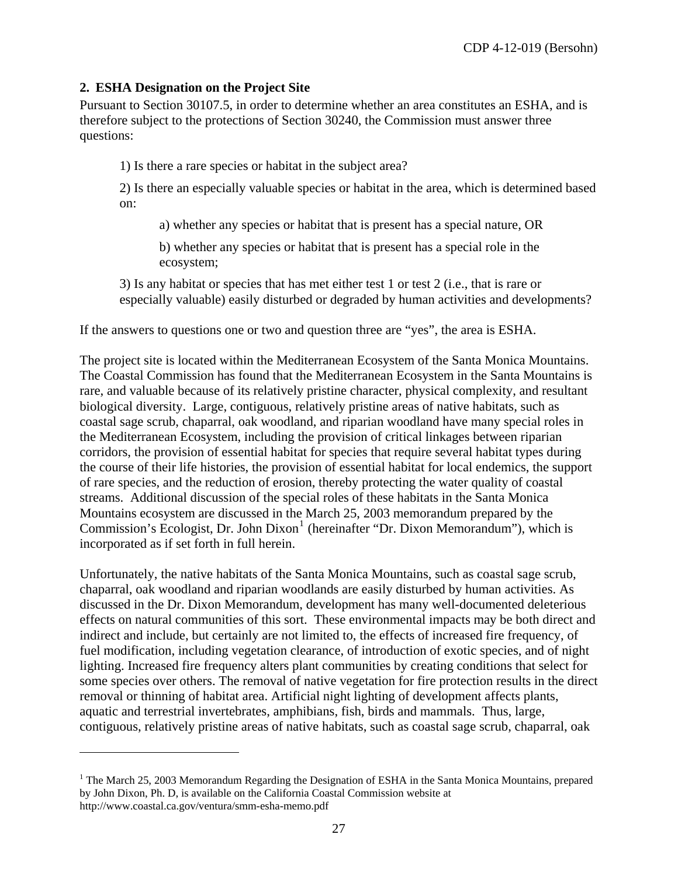### **2. ESHA Designation on the Project Site**

 $\overline{a}$ 

Pursuant to Section 30107.5, in order to determine whether an area constitutes an ESHA, and is therefore subject to the protections of Section 30240, the Commission must answer three questions:

1) Is there a rare species or habitat in the subject area?

2) Is there an especially valuable species or habitat in the area, which is determined based on:

a) whether any species or habitat that is present has a special nature, OR

b) whether any species or habitat that is present has a special role in the ecosystem;

3) Is any habitat or species that has met either test 1 or test 2 (i.e., that is rare or especially valuable) easily disturbed or degraded by human activities and developments?

If the answers to questions one or two and question three are "yes", the area is ESHA.

The project site is located within the Mediterranean Ecosystem of the Santa Monica Mountains. The Coastal Commission has found that the Mediterranean Ecosystem in the Santa Mountains is rare, and valuable because of its relatively pristine character, physical complexity, and resultant biological diversity. Large, contiguous, relatively pristine areas of native habitats, such as coastal sage scrub, chaparral, oak woodland, and riparian woodland have many special roles in the Mediterranean Ecosystem, including the provision of critical linkages between riparian corridors, the provision of essential habitat for species that require several habitat types during the course of their life histories, the provision of essential habitat for local endemics, the support of rare species, and the reduction of erosion, thereby protecting the water quality of coastal streams. Additional discussion of the special roles of these habitats in the Santa Monica Mountains ecosystem are discussed in the March 25, 2003 memorandum prepared by the Commission's Ecologist, Dr. John Dixon<sup>[1](#page-3-1)</sup> (hereinafter "Dr. Dixon Memorandum"), which is incorporated as if set forth in full herein.

Unfortunately, the native habitats of the Santa Monica Mountains, such as coastal sage scrub, chaparral, oak woodland and riparian woodlands are easily disturbed by human activities. As discussed in the Dr. Dixon Memorandum, development has many well-documented deleterious effects on natural communities of this sort. These environmental impacts may be both direct and indirect and include, but certainly are not limited to, the effects of increased fire frequency, of fuel modification, including vegetation clearance, of introduction of exotic species, and of night lighting. Increased fire frequency alters plant communities by creating conditions that select for some species over others. The removal of native vegetation for fire protection results in the direct removal or thinning of habitat area. Artificial night lighting of development affects plants, aquatic and terrestrial invertebrates, amphibians, fish, birds and mammals. Thus, large, contiguous, relatively pristine areas of native habitats, such as coastal sage scrub, chaparral, oak

<span id="page-26-0"></span><sup>&</sup>lt;sup>1</sup> The March 25, 2003 Memorandum Regarding the Designation of ESHA in the Santa Monica Mountains, prepared by John Dixon, Ph. D, is available on the California Coastal Commission website at http://www.coastal.ca.gov/ventura/smm-esha-memo.pdf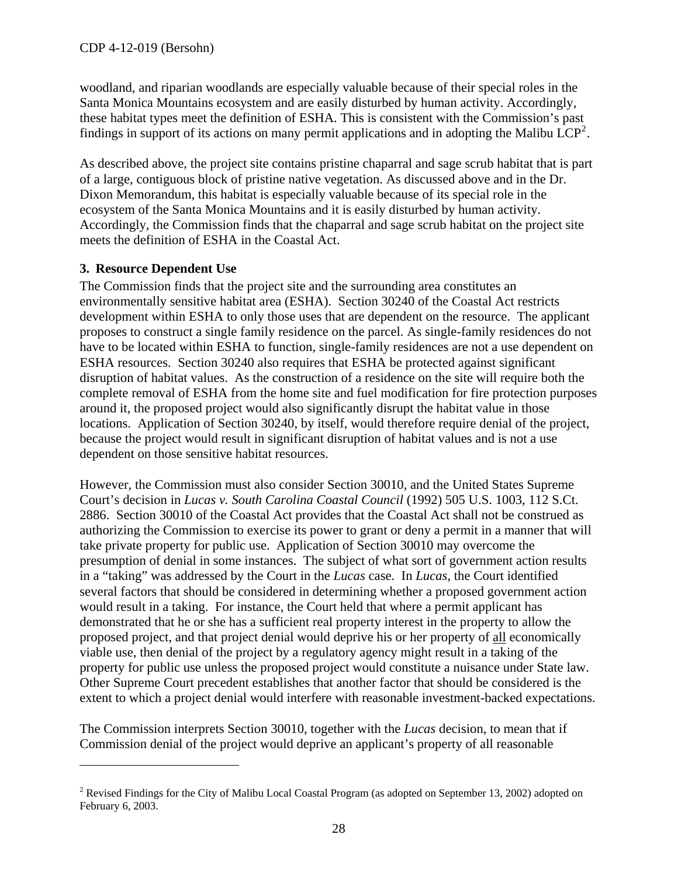woodland, and riparian woodlands are especially valuable because of their special roles in the Santa Monica Mountains ecosystem and are easily disturbed by human activity. Accordingly, these habitat types meet the definition of ESHA. This is consistent with the Commission's past findings in support of its actions on many permit applications and in adopting the Malibu  $\text{LCP}^2$  $\text{LCP}^2$ .

As described above, the project site contains pristine chaparral and sage scrub habitat that is part of a large, contiguous block of pristine native vegetation. As discussed above and in the Dr. Dixon Memorandum, this habitat is especially valuable because of its special role in the ecosystem of the Santa Monica Mountains and it is easily disturbed by human activity. Accordingly, the Commission finds that the chaparral and sage scrub habitat on the project site meets the definition of ESHA in the Coastal Act.

### **3. Resource Dependent Use**

 $\overline{a}$ 

The Commission finds that the project site and the surrounding area constitutes an environmentally sensitive habitat area (ESHA). Section 30240 of the Coastal Act restricts development within ESHA to only those uses that are dependent on the resource. The applicant proposes to construct a single family residence on the parcel. As single-family residences do not have to be located within ESHA to function, single-family residences are not a use dependent on ESHA resources. Section 30240 also requires that ESHA be protected against significant disruption of habitat values. As the construction of a residence on the site will require both the complete removal of ESHA from the home site and fuel modification for fire protection purposes around it, the proposed project would also significantly disrupt the habitat value in those locations. Application of Section 30240, by itself, would therefore require denial of the project, because the project would result in significant disruption of habitat values and is not a use dependent on those sensitive habitat resources.

However, the Commission must also consider Section 30010, and the United States Supreme Court's decision in *Lucas v. South Carolina Coastal Council* (1992) 505 U.S. 1003, 112 S.Ct. 2886. Section 30010 of the Coastal Act provides that the Coastal Act shall not be construed as authorizing the Commission to exercise its power to grant or deny a permit in a manner that will take private property for public use. Application of Section 30010 may overcome the presumption of denial in some instances. The subject of what sort of government action results in a "taking" was addressed by the Court in the *Lucas* case. In *Lucas*, the Court identified several factors that should be considered in determining whether a proposed government action would result in a taking. For instance, the Court held that where a permit applicant has demonstrated that he or she has a sufficient real property interest in the property to allow the proposed project, and that project denial would deprive his or her property of all economically viable use, then denial of the project by a regulatory agency might result in a taking of the property for public use unless the proposed project would constitute a nuisance under State law. Other Supreme Court precedent establishes that another factor that should be considered is the extent to which a project denial would interfere with reasonable investment-backed expectations.

The Commission interprets Section 30010, together with the *Lucas* decision, to mean that if Commission denial of the project would deprive an applicant's property of all reasonable

<span id="page-27-0"></span><sup>&</sup>lt;sup>2</sup> Revised Findings for the City of Malibu Local Coastal Program (as adopted on September 13, 2002) adopted on February 6, 2003.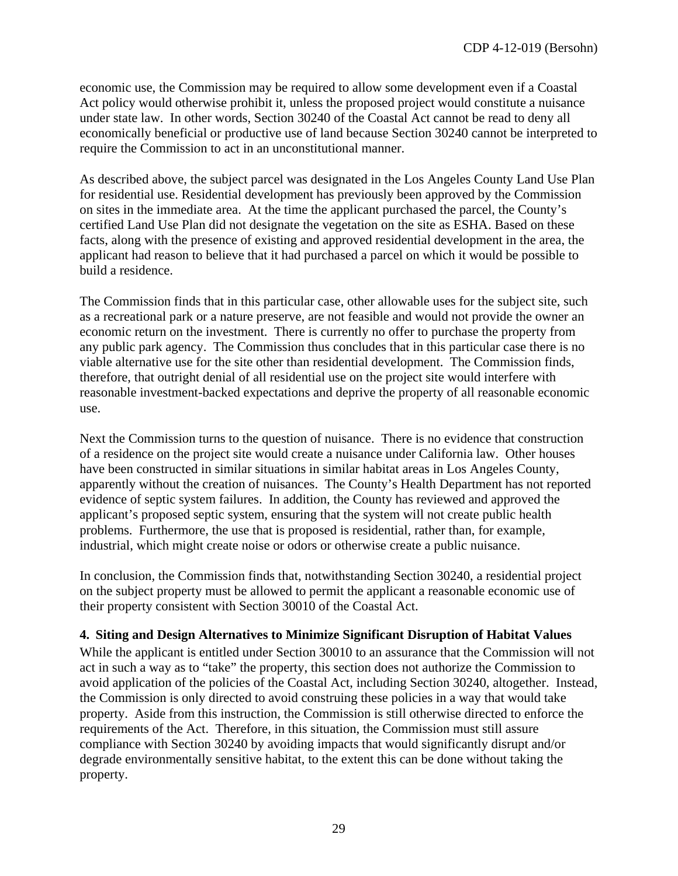economic use, the Commission may be required to allow some development even if a Coastal Act policy would otherwise prohibit it, unless the proposed project would constitute a nuisance under state law. In other words, Section 30240 of the Coastal Act cannot be read to deny all economically beneficial or productive use of land because Section 30240 cannot be interpreted to require the Commission to act in an unconstitutional manner.

As described above, the subject parcel was designated in the Los Angeles County Land Use Plan for residential use. Residential development has previously been approved by the Commission on sites in the immediate area. At the time the applicant purchased the parcel, the County's certified Land Use Plan did not designate the vegetation on the site as ESHA. Based on these facts, along with the presence of existing and approved residential development in the area, the applicant had reason to believe that it had purchased a parcel on which it would be possible to build a residence.

The Commission finds that in this particular case, other allowable uses for the subject site, such as a recreational park or a nature preserve, are not feasible and would not provide the owner an economic return on the investment. There is currently no offer to purchase the property from any public park agency. The Commission thus concludes that in this particular case there is no viable alternative use for the site other than residential development. The Commission finds, therefore, that outright denial of all residential use on the project site would interfere with reasonable investment-backed expectations and deprive the property of all reasonable economic use.

Next the Commission turns to the question of nuisance. There is no evidence that construction of a residence on the project site would create a nuisance under California law. Other houses have been constructed in similar situations in similar habitat areas in Los Angeles County, apparently without the creation of nuisances. The County's Health Department has not reported evidence of septic system failures. In addition, the County has reviewed and approved the applicant's proposed septic system, ensuring that the system will not create public health problems. Furthermore, the use that is proposed is residential, rather than, for example, industrial, which might create noise or odors or otherwise create a public nuisance.

In conclusion, the Commission finds that, notwithstanding Section 30240, a residential project on the subject property must be allowed to permit the applicant a reasonable economic use of their property consistent with Section 30010 of the Coastal Act.

### **4. Siting and Design Alternatives to Minimize Significant Disruption of Habitat Values**

While the applicant is entitled under Section 30010 to an assurance that the Commission will not act in such a way as to "take" the property, this section does not authorize the Commission to avoid application of the policies of the Coastal Act, including Section 30240, altogether. Instead, the Commission is only directed to avoid construing these policies in a way that would take property. Aside from this instruction, the Commission is still otherwise directed to enforce the requirements of the Act. Therefore, in this situation, the Commission must still assure compliance with Section 30240 by avoiding impacts that would significantly disrupt and/or degrade environmentally sensitive habitat, to the extent this can be done without taking the property.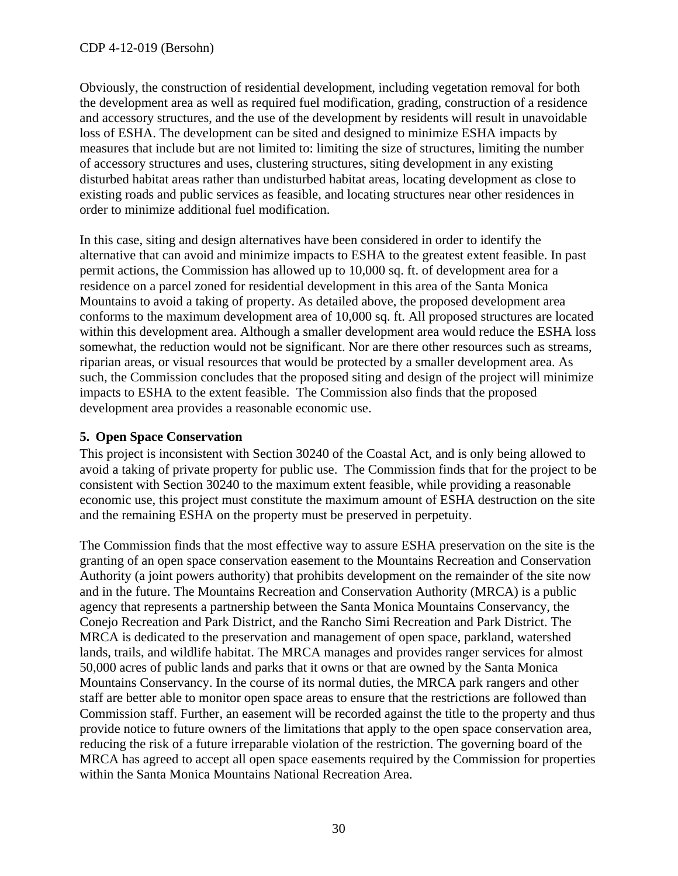Obviously, the construction of residential development, including vegetation removal for both the development area as well as required fuel modification, grading, construction of a residence and accessory structures, and the use of the development by residents will result in unavoidable loss of ESHA. The development can be sited and designed to minimize ESHA impacts by measures that include but are not limited to: limiting the size of structures, limiting the number of accessory structures and uses, clustering structures, siting development in any existing disturbed habitat areas rather than undisturbed habitat areas, locating development as close to existing roads and public services as feasible, and locating structures near other residences in order to minimize additional fuel modification.

In this case, siting and design alternatives have been considered in order to identify the alternative that can avoid and minimize impacts to ESHA to the greatest extent feasible. In past permit actions, the Commission has allowed up to 10,000 sq. ft. of development area for a residence on a parcel zoned for residential development in this area of the Santa Monica Mountains to avoid a taking of property. As detailed above, the proposed development area conforms to the maximum development area of 10,000 sq. ft. All proposed structures are located within this development area. Although a smaller development area would reduce the ESHA loss somewhat, the reduction would not be significant. Nor are there other resources such as streams, riparian areas, or visual resources that would be protected by a smaller development area. As such, the Commission concludes that the proposed siting and design of the project will minimize impacts to ESHA to the extent feasible. The Commission also finds that the proposed development area provides a reasonable economic use.

### **5. Open Space Conservation**

This project is inconsistent with Section 30240 of the Coastal Act, and is only being allowed to avoid a taking of private property for public use. The Commission finds that for the project to be consistent with Section 30240 to the maximum extent feasible, while providing a reasonable economic use, this project must constitute the maximum amount of ESHA destruction on the site and the remaining ESHA on the property must be preserved in perpetuity.

The Commission finds that the most effective way to assure ESHA preservation on the site is the granting of an open space conservation easement to the Mountains Recreation and Conservation Authority (a joint powers authority) that prohibits development on the remainder of the site now and in the future. The Mountains Recreation and Conservation Authority (MRCA) is a public agency that represents a partnership between the Santa Monica Mountains Conservancy, the Conejo Recreation and Park District, and the Rancho Simi Recreation and Park District. The MRCA is dedicated to the preservation and management of open space, parkland, watershed lands, trails, and wildlife habitat. The MRCA manages and provides ranger services for almost 50,000 acres of public lands and parks that it owns or that are owned by the Santa Monica Mountains Conservancy. In the course of its normal duties, the MRCA park rangers and other staff are better able to monitor open space areas to ensure that the restrictions are followed than Commission staff. Further, an easement will be recorded against the title to the property and thus provide notice to future owners of the limitations that apply to the open space conservation area, reducing the risk of a future irreparable violation of the restriction. The governing board of the MRCA has agreed to accept all open space easements required by the Commission for properties within the Santa Monica Mountains National Recreation Area.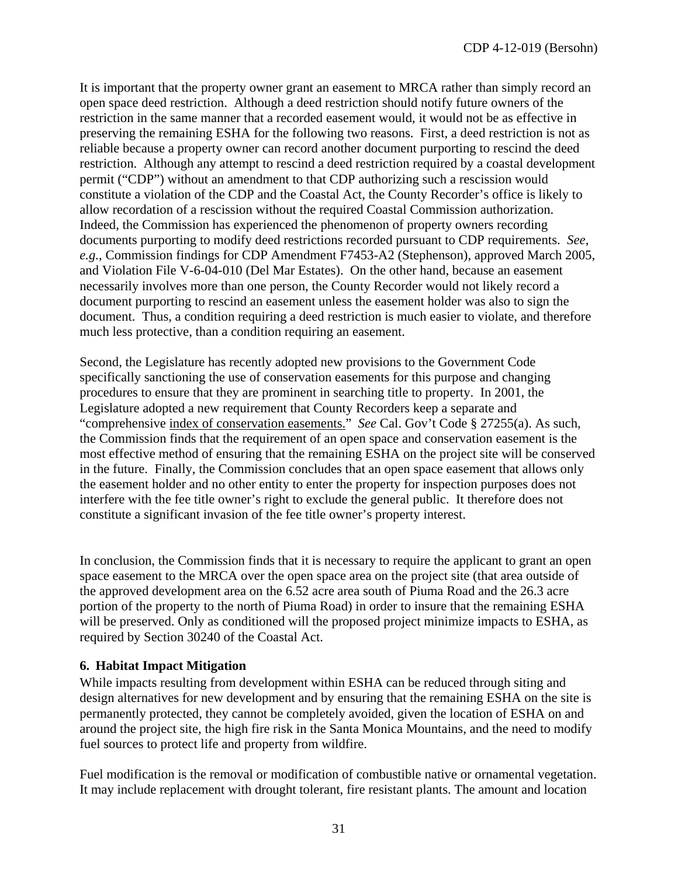It is important that the property owner grant an easement to MRCA rather than simply record an open space deed restriction. Although a deed restriction should notify future owners of the restriction in the same manner that a recorded easement would, it would not be as effective in preserving the remaining ESHA for the following two reasons. First, a deed restriction is not as reliable because a property owner can record another document purporting to rescind the deed restriction. Although any attempt to rescind a deed restriction required by a coastal development permit ("CDP") without an amendment to that CDP authorizing such a rescission would constitute a violation of the CDP and the Coastal Act, the County Recorder's office is likely to allow recordation of a rescission without the required Coastal Commission authorization. Indeed, the Commission has experienced the phenomenon of property owners recording documents purporting to modify deed restrictions recorded pursuant to CDP requirements. *See*, *e.g.*, Commission findings for CDP Amendment F7453-A2 (Stephenson), approved March 2005, and Violation File V-6-04-010 (Del Mar Estates). On the other hand, because an easement necessarily involves more than one person, the County Recorder would not likely record a document purporting to rescind an easement unless the easement holder was also to sign the document. Thus, a condition requiring a deed restriction is much easier to violate, and therefore much less protective, than a condition requiring an easement.

Second, the Legislature has recently adopted new provisions to the Government Code specifically sanctioning the use of conservation easements for this purpose and changing procedures to ensure that they are prominent in searching title to property. In 2001, the Legislature adopted a new requirement that County Recorders keep a separate and "comprehensive index of conservation easements." *See* Cal. Gov't Code § 27255(a). As such, the Commission finds that the requirement of an open space and conservation easement is the most effective method of ensuring that the remaining ESHA on the project site will be conserved in the future. Finally, the Commission concludes that an open space easement that allows only the easement holder and no other entity to enter the property for inspection purposes does not interfere with the fee title owner's right to exclude the general public. It therefore does not constitute a significant invasion of the fee title owner's property interest.

In conclusion, the Commission finds that it is necessary to require the applicant to grant an open space easement to the MRCA over the open space area on the project site (that area outside of the approved development area on the 6.52 acre area south of Piuma Road and the 26.3 acre portion of the property to the north of Piuma Road) in order to insure that the remaining ESHA will be preserved. Only as conditioned will the proposed project minimize impacts to ESHA, as required by Section 30240 of the Coastal Act.

### **6. Habitat Impact Mitigation**

While impacts resulting from development within ESHA can be reduced through siting and design alternatives for new development and by ensuring that the remaining ESHA on the site is permanently protected, they cannot be completely avoided, given the location of ESHA on and around the project site, the high fire risk in the Santa Monica Mountains, and the need to modify fuel sources to protect life and property from wildfire.

Fuel modification is the removal or modification of combustible native or ornamental vegetation. It may include replacement with drought tolerant, fire resistant plants. The amount and location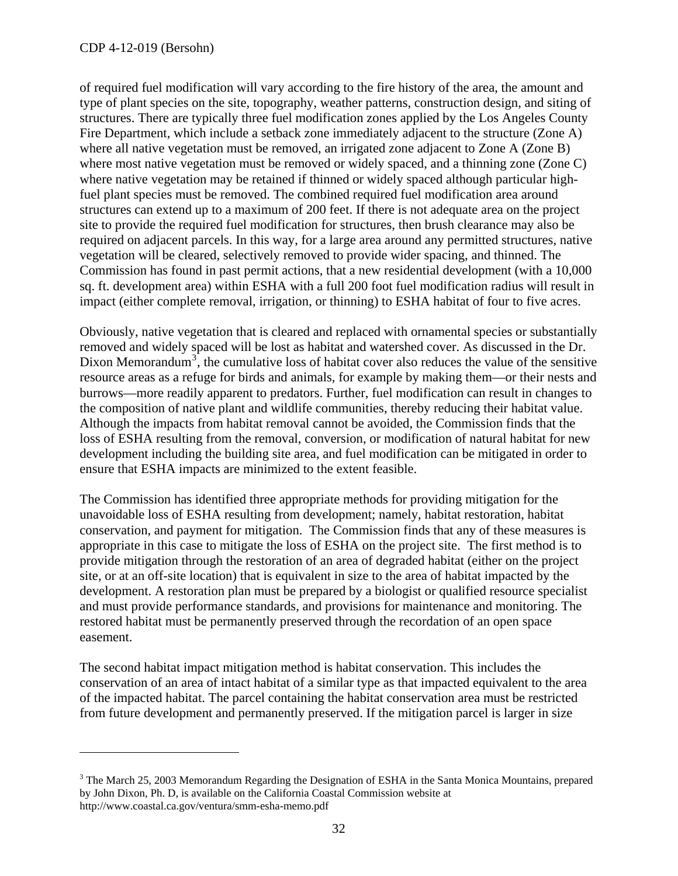1

of required fuel modification will vary according to the fire history of the area, the amount and type of plant species on the site, topography, weather patterns, construction design, and siting of structures. There are typically three fuel modification zones applied by the Los Angeles County Fire Department, which include a setback zone immediately adjacent to the structure (Zone A) where all native vegetation must be removed, an irrigated zone adjacent to Zone A (Zone B) where most native vegetation must be removed or widely spaced, and a thinning zone (Zone C) where native vegetation may be retained if thinned or widely spaced although particular highfuel plant species must be removed. The combined required fuel modification area around structures can extend up to a maximum of 200 feet. If there is not adequate area on the project site to provide the required fuel modification for structures, then brush clearance may also be required on adjacent parcels. In this way, for a large area around any permitted structures, native vegetation will be cleared, selectively removed to provide wider spacing, and thinned. The Commission has found in past permit actions, that a new residential development (with a 10,000 sq. ft. development area) within ESHA with a full 200 foot fuel modification radius will result in impact (either complete removal, irrigation, or thinning) to ESHA habitat of four to five acres.

Obviously, native vegetation that is cleared and replaced with ornamental species or substantially removed and widely spaced will be lost as habitat and watershed cover. As discussed in the Dr. Dixon Memorandum<sup>[3](#page-27-0)</sup>, the cumulative loss of habitat cover also reduces the value of the sensitive resource areas as a refuge for birds and animals, for example by making them—or their nests and burrows—more readily apparent to predators. Further, fuel modification can result in changes to the composition of native plant and wildlife communities, thereby reducing their habitat value. Although the impacts from habitat removal cannot be avoided, the Commission finds that the loss of ESHA resulting from the removal, conversion, or modification of natural habitat for new development including the building site area, and fuel modification can be mitigated in order to ensure that ESHA impacts are minimized to the extent feasible.

The Commission has identified three appropriate methods for providing mitigation for the unavoidable loss of ESHA resulting from development; namely, habitat restoration, habitat conservation, and payment for mitigation. The Commission finds that any of these measures is appropriate in this case to mitigate the loss of ESHA on the project site. The first method is to provide mitigation through the restoration of an area of degraded habitat (either on the project site, or at an off-site location) that is equivalent in size to the area of habitat impacted by the development. A restoration plan must be prepared by a biologist or qualified resource specialist and must provide performance standards, and provisions for maintenance and monitoring. The restored habitat must be permanently preserved through the recordation of an open space easement.

The second habitat impact mitigation method is habitat conservation. This includes the conservation of an area of intact habitat of a similar type as that impacted equivalent to the area of the impacted habitat. The parcel containing the habitat conservation area must be restricted from future development and permanently preserved. If the mitigation parcel is larger in size

 $3$  The March 25, 2003 Memorandum Regarding the Designation of ESHA in the Santa Monica Mountains, prepared by John Dixon, Ph. D, is available on the California Coastal Commission website at http://www.coastal.ca.gov/ventura/smm-esha-memo.pdf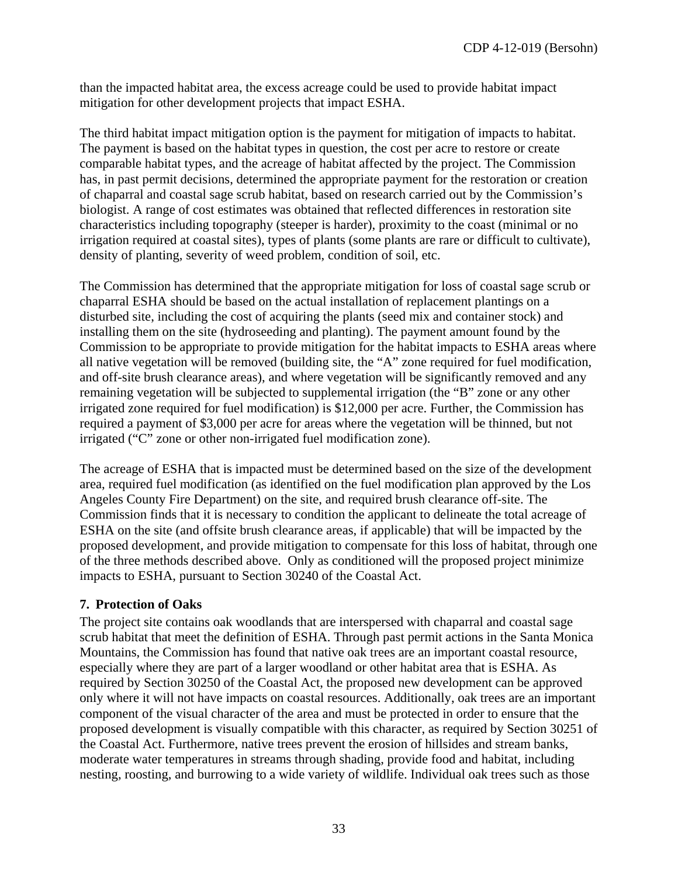than the impacted habitat area, the excess acreage could be used to provide habitat impact mitigation for other development projects that impact ESHA.

The third habitat impact mitigation option is the payment for mitigation of impacts to habitat. The payment is based on the habitat types in question, the cost per acre to restore or create comparable habitat types, and the acreage of habitat affected by the project. The Commission has, in past permit decisions, determined the appropriate payment for the restoration or creation of chaparral and coastal sage scrub habitat, based on research carried out by the Commission's biologist. A range of cost estimates was obtained that reflected differences in restoration site characteristics including topography (steeper is harder), proximity to the coast (minimal or no irrigation required at coastal sites), types of plants (some plants are rare or difficult to cultivate), density of planting, severity of weed problem, condition of soil, etc.

The Commission has determined that the appropriate mitigation for loss of coastal sage scrub or chaparral ESHA should be based on the actual installation of replacement plantings on a disturbed site, including the cost of acquiring the plants (seed mix and container stock) and installing them on the site (hydroseeding and planting). The payment amount found by the Commission to be appropriate to provide mitigation for the habitat impacts to ESHA areas where all native vegetation will be removed (building site, the "A" zone required for fuel modification, and off-site brush clearance areas), and where vegetation will be significantly removed and any remaining vegetation will be subjected to supplemental irrigation (the "B" zone or any other irrigated zone required for fuel modification) is \$12,000 per acre. Further, the Commission has required a payment of \$3,000 per acre for areas where the vegetation will be thinned, but not irrigated ("C" zone or other non-irrigated fuel modification zone).

The acreage of ESHA that is impacted must be determined based on the size of the development area, required fuel modification (as identified on the fuel modification plan approved by the Los Angeles County Fire Department) on the site, and required brush clearance off-site. The Commission finds that it is necessary to condition the applicant to delineate the total acreage of ESHA on the site (and offsite brush clearance areas, if applicable) that will be impacted by the proposed development, and provide mitigation to compensate for this loss of habitat, through one of the three methods described above. Only as conditioned will the proposed project minimize impacts to ESHA, pursuant to Section 30240 of the Coastal Act.

### **7. Protection of Oaks**

The project site contains oak woodlands that are interspersed with chaparral and coastal sage scrub habitat that meet the definition of ESHA. Through past permit actions in the Santa Monica Mountains, the Commission has found that native oak trees are an important coastal resource, especially where they are part of a larger woodland or other habitat area that is ESHA. As required by Section 30250 of the Coastal Act, the proposed new development can be approved only where it will not have impacts on coastal resources. Additionally, oak trees are an important component of the visual character of the area and must be protected in order to ensure that the proposed development is visually compatible with this character, as required by Section 30251 of the Coastal Act. Furthermore, native trees prevent the erosion of hillsides and stream banks, moderate water temperatures in streams through shading, provide food and habitat, including nesting, roosting, and burrowing to a wide variety of wildlife. Individual oak trees such as those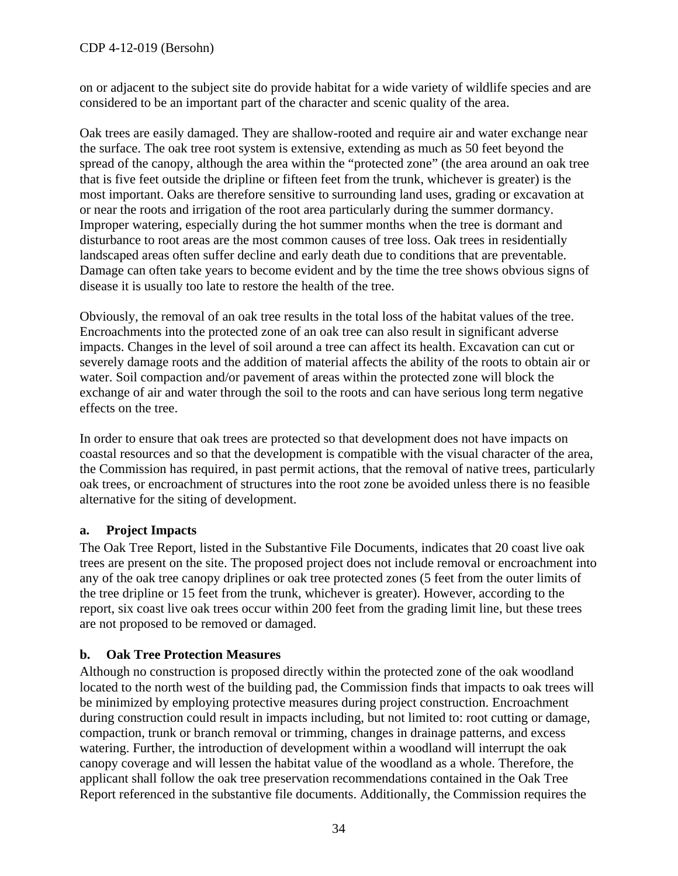### CDP 4-12-019 (Bersohn)

on or adjacent to the subject site do provide habitat for a wide variety of wildlife species and are considered to be an important part of the character and scenic quality of the area.

Oak trees are easily damaged. They are shallow-rooted and require air and water exchange near the surface. The oak tree root system is extensive, extending as much as 50 feet beyond the spread of the canopy, although the area within the "protected zone" (the area around an oak tree that is five feet outside the dripline or fifteen feet from the trunk, whichever is greater) is the most important. Oaks are therefore sensitive to surrounding land uses, grading or excavation at or near the roots and irrigation of the root area particularly during the summer dormancy. Improper watering, especially during the hot summer months when the tree is dormant and disturbance to root areas are the most common causes of tree loss. Oak trees in residentially landscaped areas often suffer decline and early death due to conditions that are preventable. Damage can often take years to become evident and by the time the tree shows obvious signs of disease it is usually too late to restore the health of the tree.

Obviously, the removal of an oak tree results in the total loss of the habitat values of the tree. Encroachments into the protected zone of an oak tree can also result in significant adverse impacts. Changes in the level of soil around a tree can affect its health. Excavation can cut or severely damage roots and the addition of material affects the ability of the roots to obtain air or water. Soil compaction and/or pavement of areas within the protected zone will block the exchange of air and water through the soil to the roots and can have serious long term negative effects on the tree.

In order to ensure that oak trees are protected so that development does not have impacts on coastal resources and so that the development is compatible with the visual character of the area, the Commission has required, in past permit actions, that the removal of native trees, particularly oak trees, or encroachment of structures into the root zone be avoided unless there is no feasible alternative for the siting of development.

### **a. Project Impacts**

The Oak Tree Report, listed in the Substantive File Documents, indicates that 20 coast live oak trees are present on the site. The proposed project does not include removal or encroachment into any of the oak tree canopy driplines or oak tree protected zones (5 feet from the outer limits of the tree dripline or 15 feet from the trunk, whichever is greater). However, according to the report, six coast live oak trees occur within 200 feet from the grading limit line, but these trees are not proposed to be removed or damaged.

### **b. Oak Tree Protection Measures**

Although no construction is proposed directly within the protected zone of the oak woodland located to the north west of the building pad, the Commission finds that impacts to oak trees will be minimized by employing protective measures during project construction. Encroachment during construction could result in impacts including, but not limited to: root cutting or damage, compaction, trunk or branch removal or trimming, changes in drainage patterns, and excess watering. Further, the introduction of development within a woodland will interrupt the oak canopy coverage and will lessen the habitat value of the woodland as a whole. Therefore, the applicant shall follow the oak tree preservation recommendations contained in the Oak Tree Report referenced in the substantive file documents. Additionally, the Commission requires the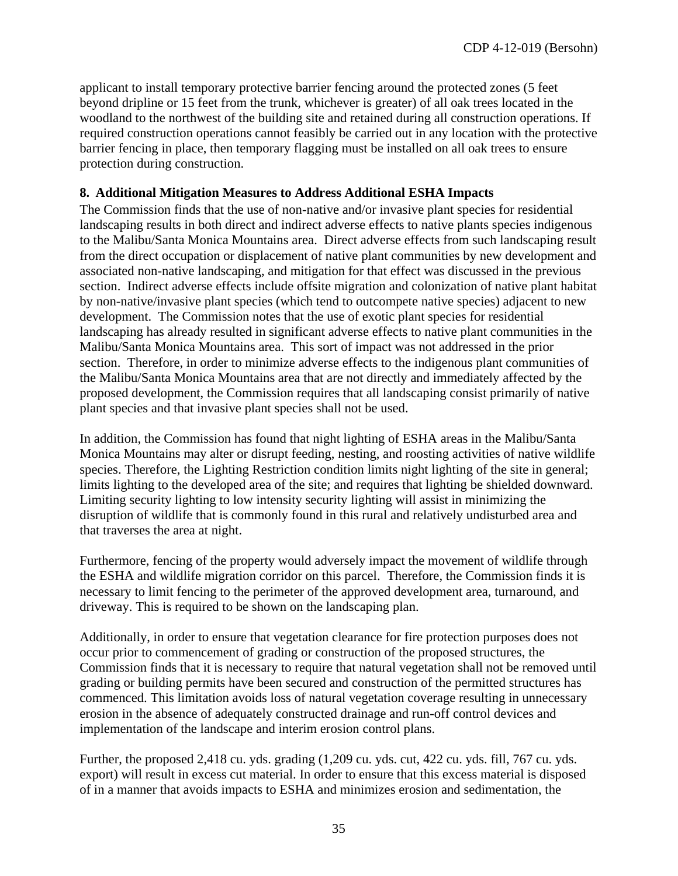applicant to install temporary protective barrier fencing around the protected zones (5 feet beyond dripline or 15 feet from the trunk, whichever is greater) of all oak trees located in the woodland to the northwest of the building site and retained during all construction operations. If required construction operations cannot feasibly be carried out in any location with the protective barrier fencing in place, then temporary flagging must be installed on all oak trees to ensure protection during construction.

### **8. Additional Mitigation Measures to Address Additional ESHA Impacts**

The Commission finds that the use of non-native and/or invasive plant species for residential landscaping results in both direct and indirect adverse effects to native plants species indigenous to the Malibu/Santa Monica Mountains area. Direct adverse effects from such landscaping result from the direct occupation or displacement of native plant communities by new development and associated non-native landscaping, and mitigation for that effect was discussed in the previous section. Indirect adverse effects include offsite migration and colonization of native plant habitat by non-native/invasive plant species (which tend to outcompete native species) adjacent to new development. The Commission notes that the use of exotic plant species for residential landscaping has already resulted in significant adverse effects to native plant communities in the Malibu/Santa Monica Mountains area. This sort of impact was not addressed in the prior section. Therefore, in order to minimize adverse effects to the indigenous plant communities of the Malibu/Santa Monica Mountains area that are not directly and immediately affected by the proposed development, the Commission requires that all landscaping consist primarily of native plant species and that invasive plant species shall not be used.

In addition, the Commission has found that night lighting of ESHA areas in the Malibu/Santa Monica Mountains may alter or disrupt feeding, nesting, and roosting activities of native wildlife species. Therefore, the Lighting Restriction condition limits night lighting of the site in general; limits lighting to the developed area of the site; and requires that lighting be shielded downward. Limiting security lighting to low intensity security lighting will assist in minimizing the disruption of wildlife that is commonly found in this rural and relatively undisturbed area and that traverses the area at night.

Furthermore, fencing of the property would adversely impact the movement of wildlife through the ESHA and wildlife migration corridor on this parcel. Therefore, the Commission finds it is necessary to limit fencing to the perimeter of the approved development area, turnaround, and driveway. This is required to be shown on the landscaping plan.

Additionally, in order to ensure that vegetation clearance for fire protection purposes does not occur prior to commencement of grading or construction of the proposed structures, the Commission finds that it is necessary to require that natural vegetation shall not be removed until grading or building permits have been secured and construction of the permitted structures has commenced. This limitation avoids loss of natural vegetation coverage resulting in unnecessary erosion in the absence of adequately constructed drainage and run-off control devices and implementation of the landscape and interim erosion control plans.

Further, the proposed 2,418 cu. yds. grading (1,209 cu. yds. cut, 422 cu. yds. fill, 767 cu. yds. export) will result in excess cut material. In order to ensure that this excess material is disposed of in a manner that avoids impacts to ESHA and minimizes erosion and sedimentation, the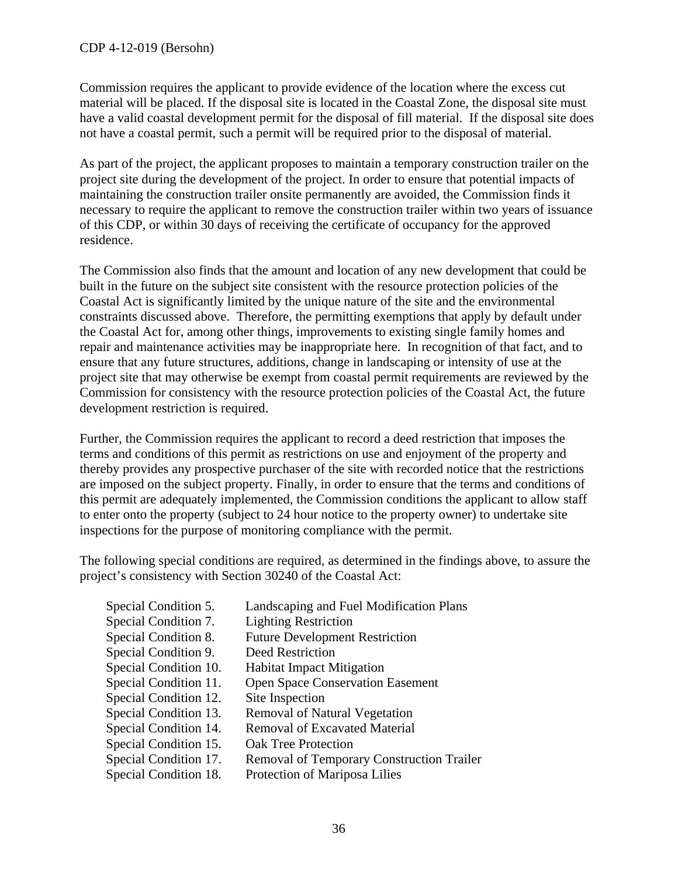Commission requires the applicant to provide evidence of the location where the excess cut material will be placed. If the disposal site is located in the Coastal Zone, the disposal site must have a valid coastal development permit for the disposal of fill material. If the disposal site does not have a coastal permit, such a permit will be required prior to the disposal of material.

As part of the project, the applicant proposes to maintain a temporary construction trailer on the project site during the development of the project. In order to ensure that potential impacts of maintaining the construction trailer onsite permanently are avoided, the Commission finds it necessary to require the applicant to remove the construction trailer within two years of issuance of this CDP, or within 30 days of receiving the certificate of occupancy for the approved residence.

The Commission also finds that the amount and location of any new development that could be built in the future on the subject site consistent with the resource protection policies of the Coastal Act is significantly limited by the unique nature of the site and the environmental constraints discussed above. Therefore, the permitting exemptions that apply by default under the Coastal Act for, among other things, improvements to existing single family homes and repair and maintenance activities may be inappropriate here. In recognition of that fact, and to ensure that any future structures, additions, change in landscaping or intensity of use at the project site that may otherwise be exempt from coastal permit requirements are reviewed by the Commission for consistency with the resource protection policies of the Coastal Act, the future development restriction is required.

Further, the Commission requires the applicant to record a deed restriction that imposes the terms and conditions of this permit as restrictions on use and enjoyment of the property and thereby provides any prospective purchaser of the site with recorded notice that the restrictions are imposed on the subject property. Finally, in order to ensure that the terms and conditions of this permit are adequately implemented, the Commission conditions the applicant to allow staff to enter onto the property (subject to 24 hour notice to the property owner) to undertake site inspections for the purpose of monitoring compliance with the permit.

The following special conditions are required, as determined in the findings above, to assure the project's consistency with Section 30240 of the Coastal Act:

| Landscaping and Fuel Modification Plans<br><b>Lighting Restriction</b>            |
|-----------------------------------------------------------------------------------|
| <b>Future Development Restriction</b>                                             |
| <b>Deed Restriction</b><br><b>Habitat Impact Mitigation</b>                       |
| <b>Open Space Conservation Easement</b>                                           |
| Site Inspection<br><b>Removal of Natural Vegetation</b>                           |
| <b>Removal of Excavated Material</b>                                              |
| <b>Oak Tree Protection</b>                                                        |
| <b>Removal of Temporary Construction Trailer</b><br>Protection of Mariposa Lilies |
|                                                                                   |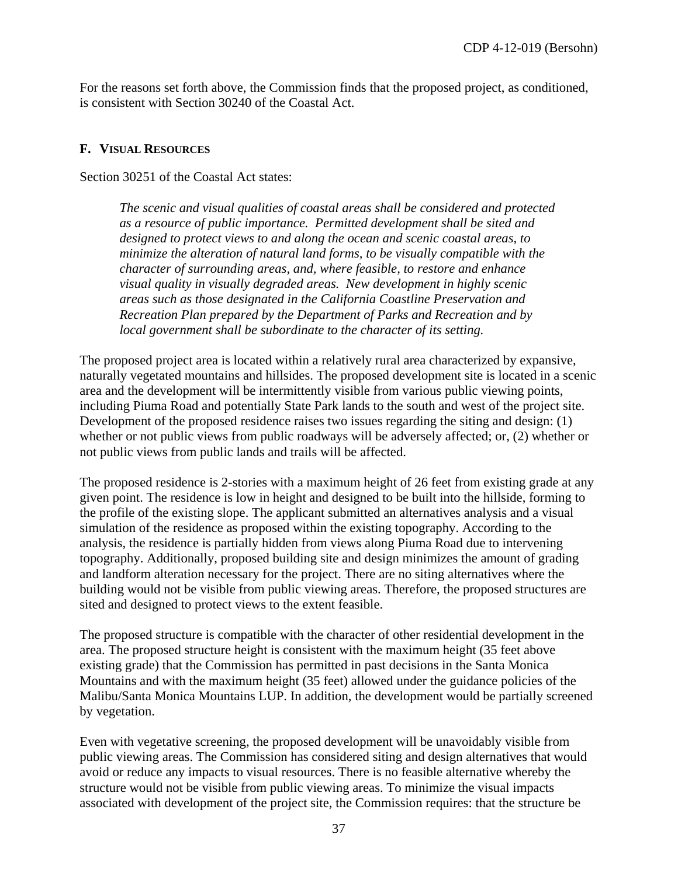For the reasons set forth above, the Commission finds that the proposed project, as conditioned, is consistent with Section 30240 of the Coastal Act.

#### <span id="page-36-0"></span>**F. VISUAL RESOURCES**

Section 30251 of the Coastal Act states:

*The scenic and visual qualities of coastal areas shall be considered and protected as a resource of public importance. Permitted development shall be sited and designed to protect views to and along the ocean and scenic coastal areas, to minimize the alteration of natural land forms, to be visually compatible with the character of surrounding areas, and, where feasible, to restore and enhance visual quality in visually degraded areas. New development in highly scenic areas such as those designated in the California Coastline Preservation and Recreation Plan prepared by the Department of Parks and Recreation and by local government shall be subordinate to the character of its setting.* 

The proposed project area is located within a relatively rural area characterized by expansive, naturally vegetated mountains and hillsides. The proposed development site is located in a scenic area and the development will be intermittently visible from various public viewing points, including Piuma Road and potentially State Park lands to the south and west of the project site. Development of the proposed residence raises two issues regarding the siting and design: (1) whether or not public views from public roadways will be adversely affected; or, (2) whether or not public views from public lands and trails will be affected.

The proposed residence is 2-stories with a maximum height of 26 feet from existing grade at any given point. The residence is low in height and designed to be built into the hillside, forming to the profile of the existing slope. The applicant submitted an alternatives analysis and a visual simulation of the residence as proposed within the existing topography. According to the analysis, the residence is partially hidden from views along Piuma Road due to intervening topography. Additionally, proposed building site and design minimizes the amount of grading and landform alteration necessary for the project. There are no siting alternatives where the building would not be visible from public viewing areas. Therefore, the proposed structures are sited and designed to protect views to the extent feasible.

The proposed structure is compatible with the character of other residential development in the area. The proposed structure height is consistent with the maximum height (35 feet above existing grade) that the Commission has permitted in past decisions in the Santa Monica Mountains and with the maximum height (35 feet) allowed under the guidance policies of the Malibu/Santa Monica Mountains LUP. In addition, the development would be partially screened by vegetation.

Even with vegetative screening, the proposed development will be unavoidably visible from public viewing areas. The Commission has considered siting and design alternatives that would avoid or reduce any impacts to visual resources. There is no feasible alternative whereby the structure would not be visible from public viewing areas. To minimize the visual impacts associated with development of the project site, the Commission requires: that the structure be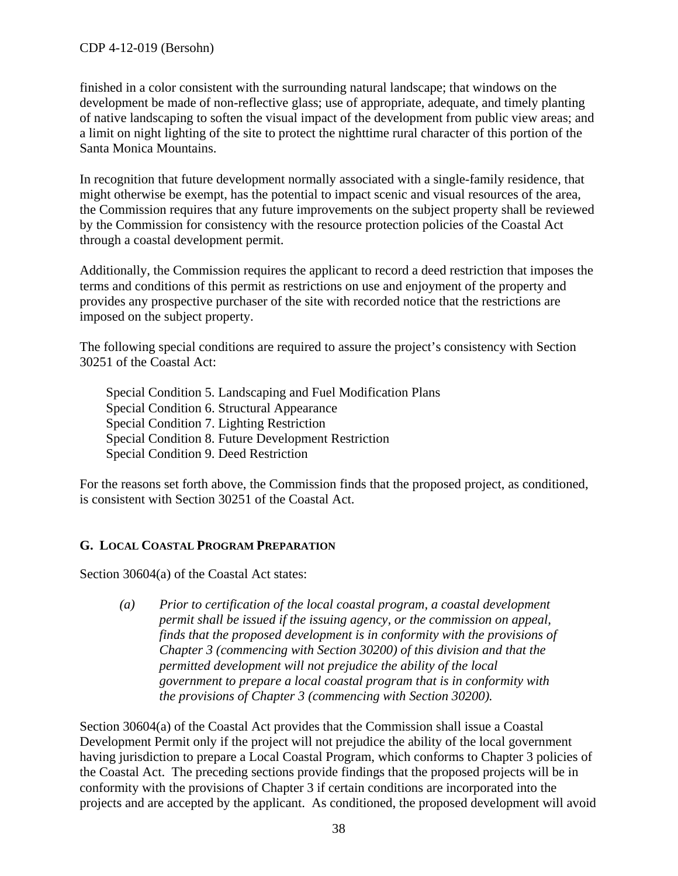### CDP 4-12-019 (Bersohn)

finished in a color consistent with the surrounding natural landscape; that windows on the development be made of non-reflective glass; use of appropriate, adequate, and timely planting of native landscaping to soften the visual impact of the development from public view areas; and a limit on night lighting of the site to protect the nighttime rural character of this portion of the Santa Monica Mountains.

In recognition that future development normally associated with a single-family residence, that might otherwise be exempt, has the potential to impact scenic and visual resources of the area, the Commission requires that any future improvements on the subject property shall be reviewed by the Commission for consistency with the resource protection policies of the Coastal Act through a coastal development permit.

Additionally, the Commission requires the applicant to record a deed restriction that imposes the terms and conditions of this permit as restrictions on use and enjoyment of the property and provides any prospective purchaser of the site with recorded notice that the restrictions are imposed on the subject property.

The following special conditions are required to assure the project's consistency with Section 30251 of the Coastal Act:

Special Condition 5. Landscaping and Fuel Modification Plans Special Condition 6. Structural Appearance Special Condition 7. Lighting Restriction Special Condition 8. Future Development Restriction Special Condition 9. Deed Restriction

For the reasons set forth above, the Commission finds that the proposed project, as conditioned, is consistent with Section 30251 of the Coastal Act.

### <span id="page-37-0"></span>**G. LOCAL COASTAL PROGRAM PREPARATION**

Section 30604(a) of the Coastal Act states:

*(a) Prior to certification of the local coastal program, a coastal development permit shall be issued if the issuing agency, or the commission on appeal, finds that the proposed development is in conformity with the provisions of Chapter 3 (commencing with Section 30200) of this division and that the permitted development will not prejudice the ability of the local government to prepare a local coastal program that is in conformity with the provisions of Chapter 3 (commencing with Section 30200).* 

Section 30604(a) of the Coastal Act provides that the Commission shall issue a Coastal Development Permit only if the project will not prejudice the ability of the local government having jurisdiction to prepare a Local Coastal Program, which conforms to Chapter 3 policies of the Coastal Act. The preceding sections provide findings that the proposed projects will be in conformity with the provisions of Chapter 3 if certain conditions are incorporated into the projects and are accepted by the applicant. As conditioned, the proposed development will avoid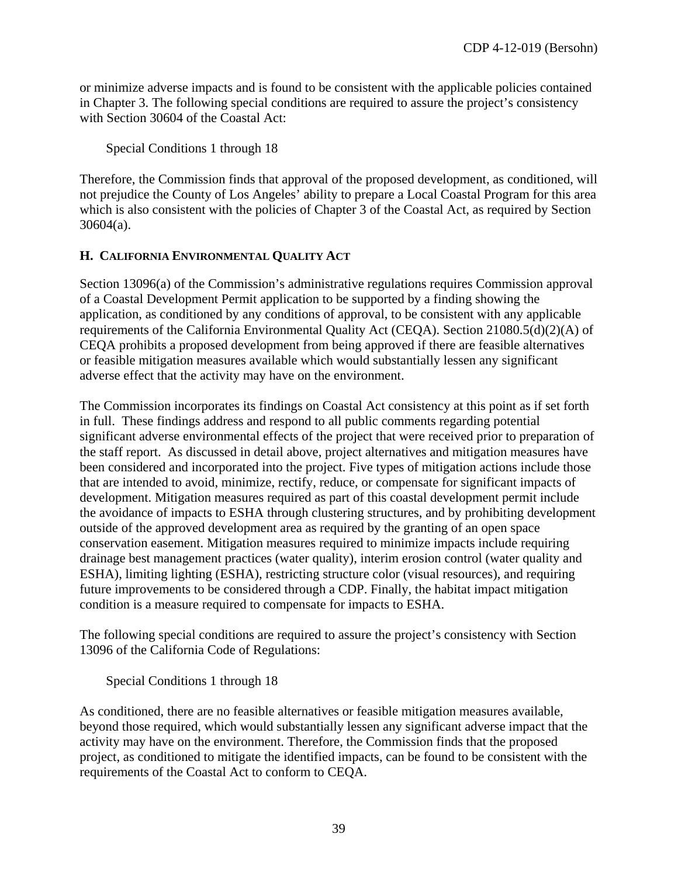or minimize adverse impacts and is found to be consistent with the applicable policies contained in Chapter 3. The following special conditions are required to assure the project's consistency with Section 30604 of the Coastal Act:

Special Conditions 1 through 18

Therefore, the Commission finds that approval of the proposed development, as conditioned, will not prejudice the County of Los Angeles' ability to prepare a Local Coastal Program for this area which is also consistent with the policies of Chapter 3 of the Coastal Act, as required by Section 30604(a).

### <span id="page-38-0"></span>**H. CALIFORNIA ENVIRONMENTAL QUALITY ACT**

Section 13096(a) of the Commission's administrative regulations requires Commission approval of a Coastal Development Permit application to be supported by a finding showing the application, as conditioned by any conditions of approval, to be consistent with any applicable requirements of the California Environmental Quality Act (CEQA). Section 21080.5(d)(2)(A) of CEQA prohibits a proposed development from being approved if there are feasible alternatives or feasible mitigation measures available which would substantially lessen any significant adverse effect that the activity may have on the environment.

The Commission incorporates its findings on Coastal Act consistency at this point as if set forth in full. These findings address and respond to all public comments regarding potential significant adverse environmental effects of the project that were received prior to preparation of the staff report. As discussed in detail above, project alternatives and mitigation measures have been considered and incorporated into the project. Five types of mitigation actions include those that are intended to avoid, minimize, rectify, reduce, or compensate for significant impacts of development. Mitigation measures required as part of this coastal development permit include the avoidance of impacts to ESHA through clustering structures, and by prohibiting development outside of the approved development area as required by the granting of an open space conservation easement. Mitigation measures required to minimize impacts include requiring drainage best management practices (water quality), interim erosion control (water quality and ESHA), limiting lighting (ESHA), restricting structure color (visual resources), and requiring future improvements to be considered through a CDP. Finally, the habitat impact mitigation condition is a measure required to compensate for impacts to ESHA.

The following special conditions are required to assure the project's consistency with Section 13096 of the California Code of Regulations:

Special Conditions 1 through 18

As conditioned, there are no feasible alternatives or feasible mitigation measures available, beyond those required, which would substantially lessen any significant adverse impact that the activity may have on the environment. Therefore, the Commission finds that the proposed project, as conditioned to mitigate the identified impacts, can be found to be consistent with the requirements of the Coastal Act to conform to CEQA.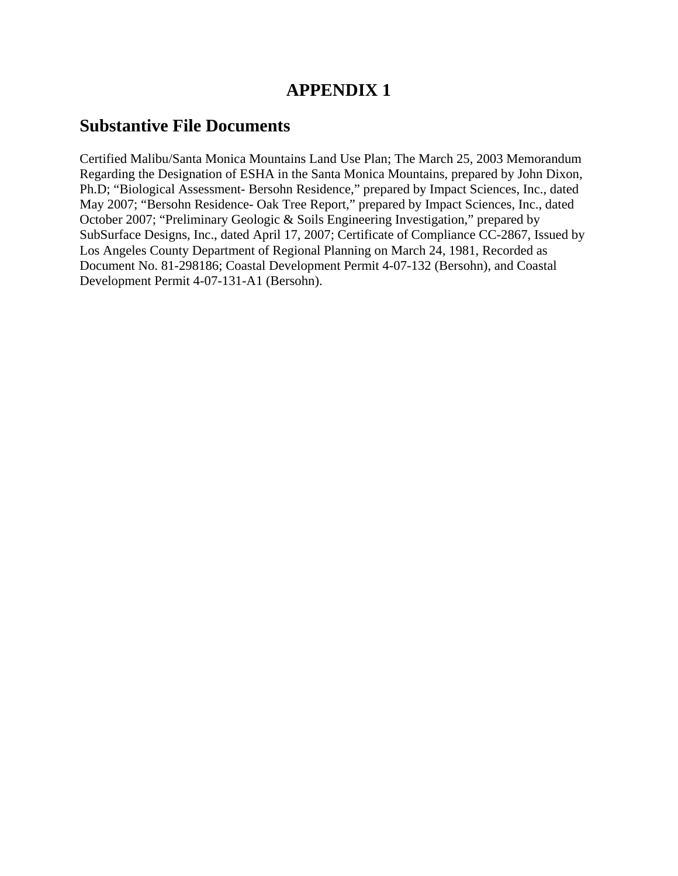## **APPENDIX 1**

## **Substantive File Documents**

Certified Malibu/Santa Monica Mountains Land Use Plan; The March 25, 2003 Memorandum Regarding the Designation of ESHA in the Santa Monica Mountains, prepared by John Dixon, Ph.D; "Biological Assessment- Bersohn Residence," prepared by Impact Sciences, Inc., dated May 2007; "Bersohn Residence- Oak Tree Report," prepared by Impact Sciences, Inc., dated October 2007; "Preliminary Geologic & Soils Engineering Investigation," prepared by SubSurface Designs, Inc., dated April 17, 2007; Certificate of Compliance CC-2867, Issued by Los Angeles County Department of Regional Planning on March 24, 1981, Recorded as Document No. 81-298186; Coastal Development Permit 4-07-132 (Bersohn), and Coastal Development Permit 4-07-131-A1 (Bersohn).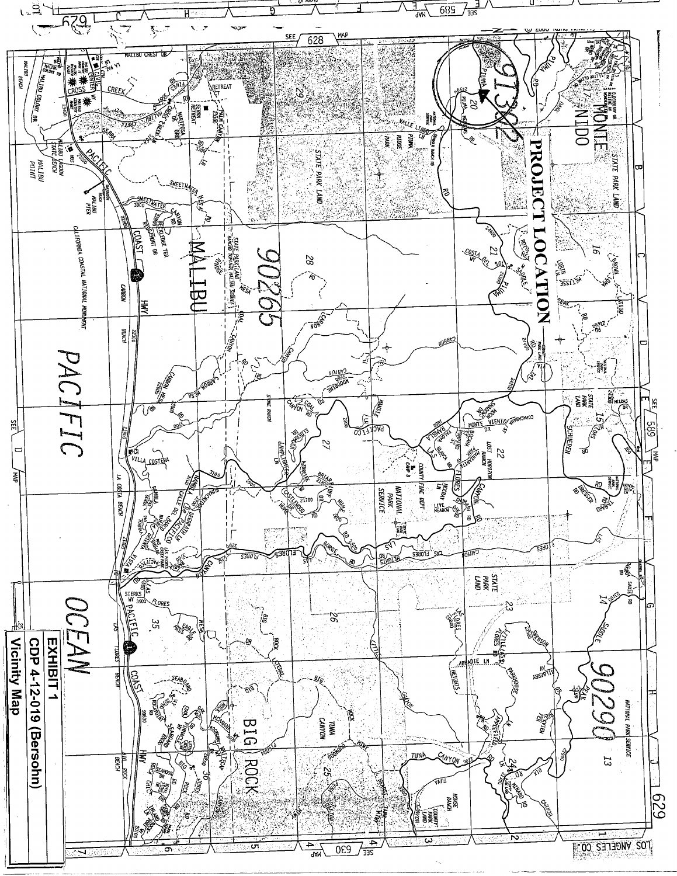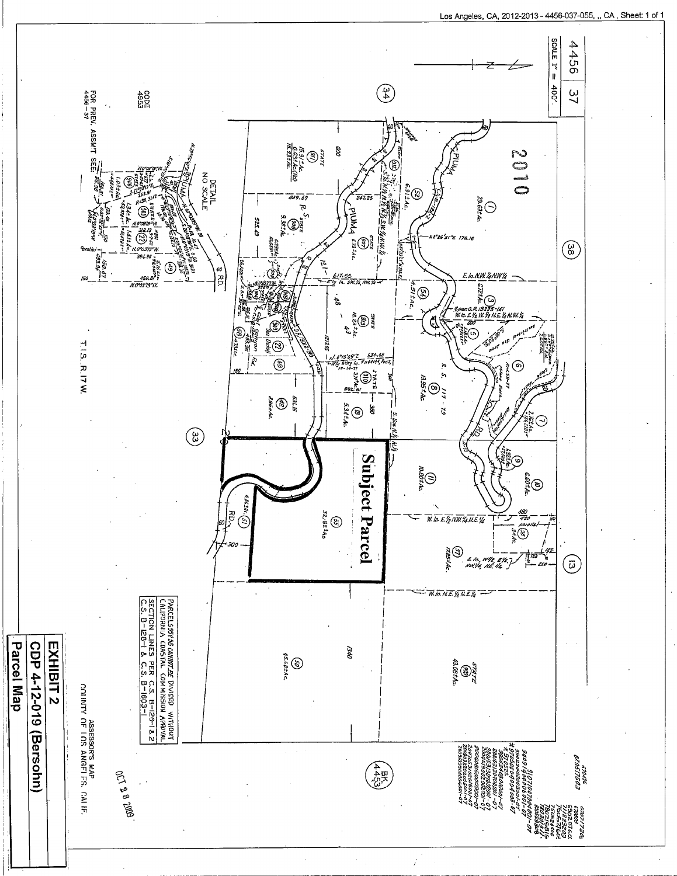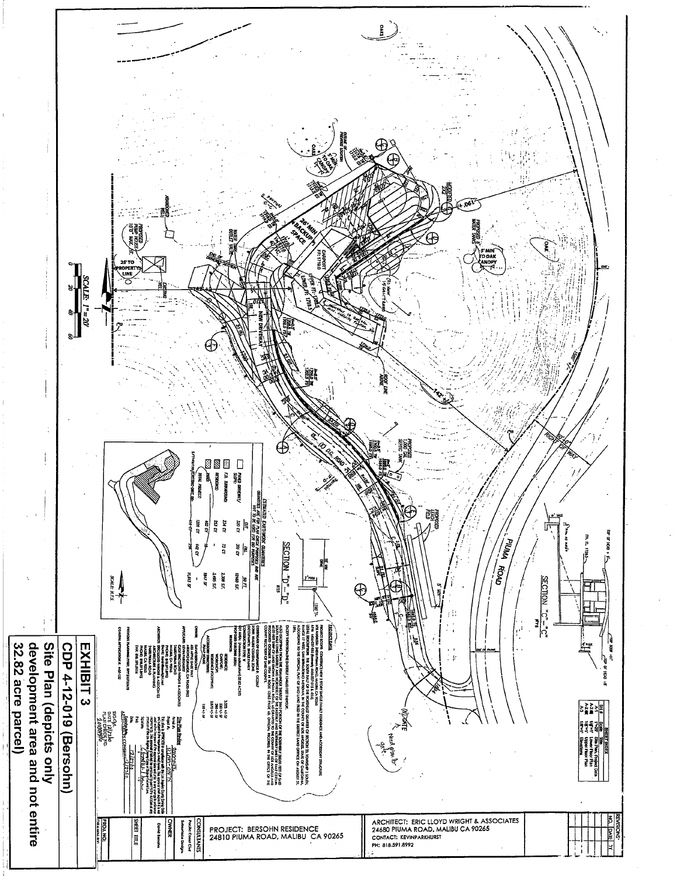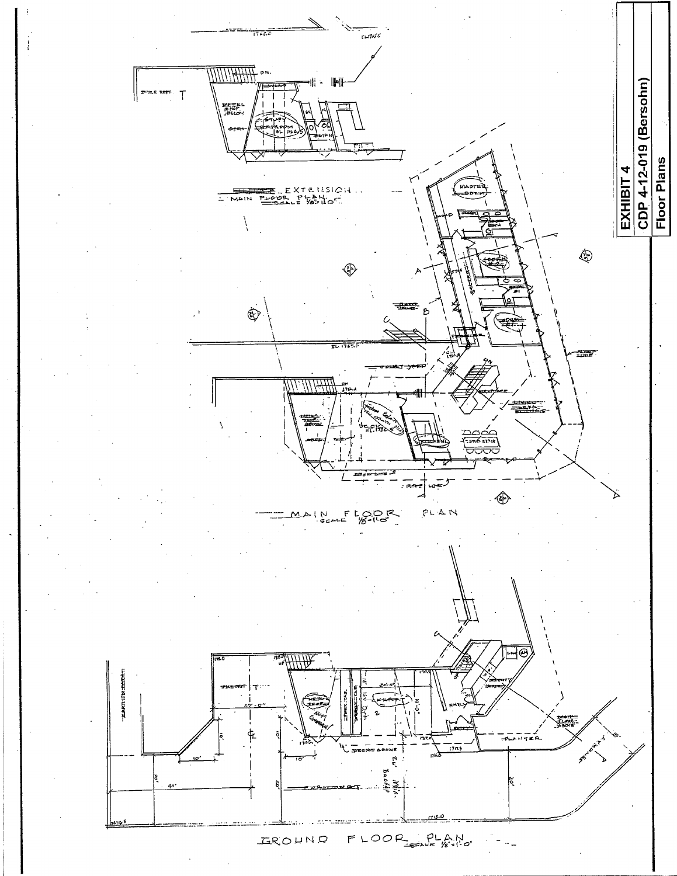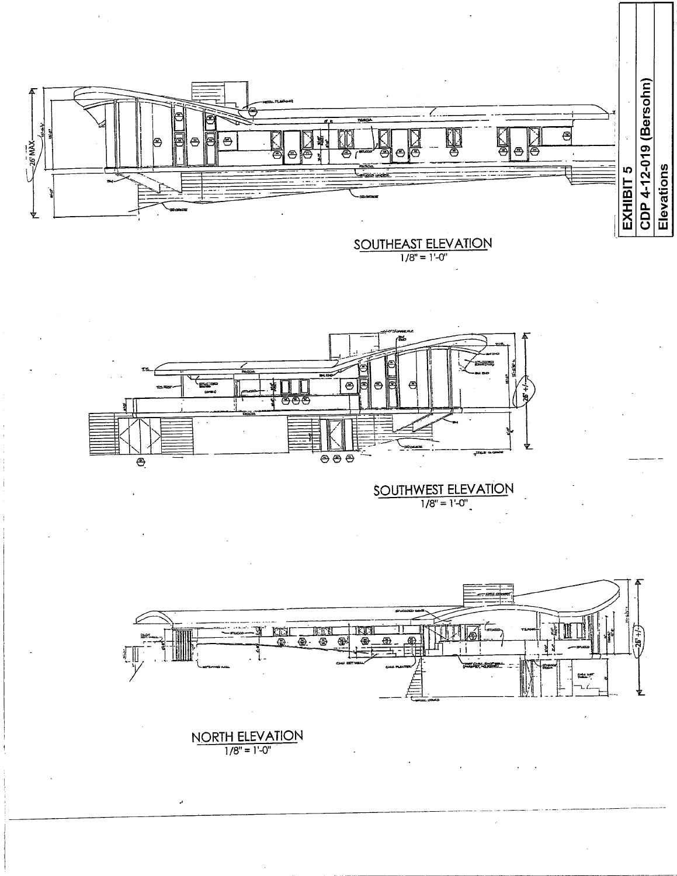

SOUTHEAST ELEVATION



SOUTHWEST ELEVATION



NORTH ELEVATION

J.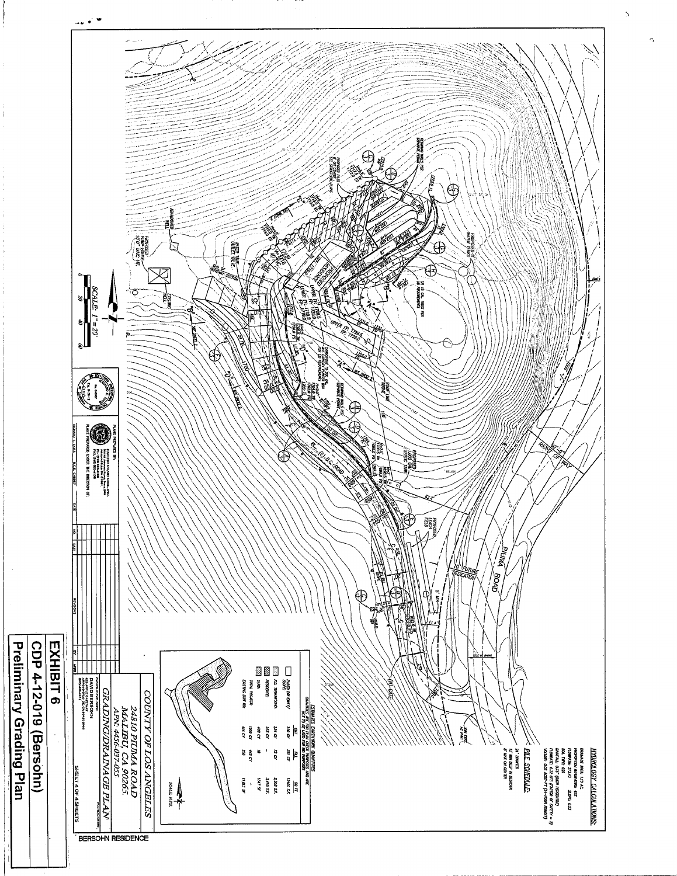